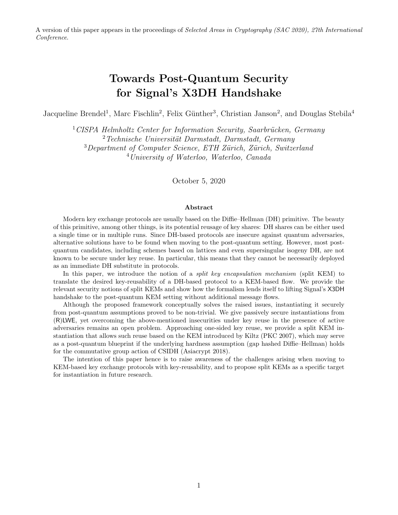A version of this paper appears in the proceedings of Selected Areas in Cryptography (SAC 2020), 27th International Conference.

# Towards Post-Quantum Security for Signal's X3DH Handshake

Jacqueline Brendel<sup>1</sup>, Marc Fischlin<sup>2</sup>, Felix Günther<sup>3</sup>, Christian Janson<sup>2</sup>, and Douglas Stebila<sup>4</sup>

 $1^1$ CISPA Helmholtz Center for Information Security, Saarbrücken, Germany  $2 Technische Universität Darmstadt, Darmstadt, Germany$ 

 $3$ Department of Computer Science, ETH Zürich, Zürich, Switzerland

<sup>4</sup>University of Waterloo, Waterloo, Canada

October 5, 2020

#### Abstract

Modern key exchange protocols are usually based on the Diffie–Hellman (DH) primitive. The beauty of this primitive, among other things, is its potential reusage of key shares: DH shares can be either used a single time or in multiple runs. Since DH-based protocols are insecure against quantum adversaries, alternative solutions have to be found when moving to the post-quantum setting. However, most postquantum candidates, including schemes based on lattices and even supersingular isogeny DH, are not known to be secure under key reuse. In particular, this means that they cannot be necessarily deployed as an immediate DH substitute in protocols.

In this paper, we introduce the notion of a *split key encapsulation mechanism* (split KEM) to translate the desired key-reusability of a DH-based protocol to a KEM-based flow. We provide the relevant security notions of split KEMs and show how the formalism lends itself to lifting Signal's X3DH handshake to the post-quantum KEM setting without additional message flows.

Although the proposed framework conceptually solves the raised issues, instantiating it securely from post-quantum assumptions proved to be non-trivial. We give passively secure instantiations from (R)LWE, yet overcoming the above-mentioned insecurities under key reuse in the presence of active adversaries remains an open problem. Approaching one-sided key reuse, we provide a split KEM instantiation that allows such reuse based on the KEM introduced by Kiltz (PKC 2007), which may serve as a post-quantum blueprint if the underlying hardness assumption (gap hashed Diffie–Hellman) holds for the commutative group action of CSIDH (Asiacrypt 2018).

The intention of this paper hence is to raise awareness of the challenges arising when moving to KEM-based key exchange protocols with key-reusability, and to propose split KEMs as a specific target for instantiation in future research.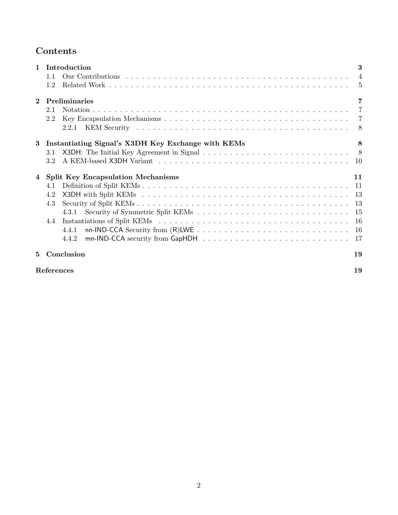# Contents

| $\mathbf{1}$ | Introduction                                                                                                               | 3              |
|--------------|----------------------------------------------------------------------------------------------------------------------------|----------------|
|              | 1.1                                                                                                                        | $\overline{4}$ |
|              | 1.2                                                                                                                        | $\frac{5}{2}$  |
| $\mathbf{2}$ | Preliminaries                                                                                                              | 7              |
|              | 2.1                                                                                                                        | -7             |
|              | 2.2                                                                                                                        |                |
|              | 2.2.1                                                                                                                      | -8             |
| 3            | Instantiating Signal's X3DH Key Exchange with KEMs                                                                         | 8              |
|              | 3.1                                                                                                                        |                |
|              | 3.2                                                                                                                        | - 10           |
| 4            | <b>Split Key Encapsulation Mechanisms</b>                                                                                  | 11             |
|              | 4.1                                                                                                                        | -11            |
|              | 4.2                                                                                                                        |                |
|              | 4.3                                                                                                                        |                |
|              | 4.3.1                                                                                                                      |                |
|              | 4.4                                                                                                                        | -16            |
|              | 4.4.1                                                                                                                      | -16            |
|              | mn-IND-CCA security from GapHDH $\ldots \ldots \ldots \ldots \ldots \ldots \ldots \ldots \ldots \ldots \ldots 17$<br>4.4.2 |                |
| 5            | Conclusion                                                                                                                 | 19             |
|              | References                                                                                                                 | 19             |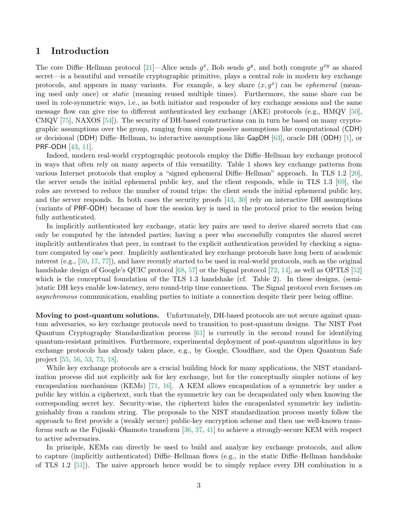# <span id="page-2-0"></span>1 Introduction

The core Diffie–Hellman protocol [\[21\]](#page-20-0)—Alice sends  $g^x$ , Bob sends  $g^y$ , and both compute  $g^{xy}$  as shared secret—is a beautiful and versatile cryptographic primitive, plays a central role in modern key exchange protocols, and appears in many variants. For example, a key share  $(x, g^x)$  can be *ephemeral* (meaning used only once) or static (meaning reused multiple times). Furthermore, the same share can be used in role-symmetric ways, i.e., as both initiator and responder of key exchange sessions and the same message flow can give rise to different authenticated key exchange (AKE) protocols (e.g., HMQV [\[50\]](#page-22-0), CMQV [\[75\]](#page-23-0), NAXOS [\[54\]](#page-22-1)). The security of DH-based constructions can in turn be based on many cryptographic assumptions over the group, ranging from simple passive assumptions like computational (CDH) or decisional (DDH) Diffie–Hellman, to interactive assumptions like GapDH [\[63\]](#page-22-2), oracle DH (ODH) [\[1\]](#page-18-2), or PRF-ODH [\[43,](#page-21-0) [11\]](#page-19-0).

Indeed, modern real-world cryptographic protocols employ the Diffie–Hellman key exchange protocol in ways that often rely on many aspects of this versatility. Table [1](#page-3-1) shows key exchange patterns from various Internet protocols that employ a "signed ephemeral Diffie–Hellman" approach. In TLS 1.2 [\[20\]](#page-20-1), the server sends the initial ephemeral public key, and the client responds, while in TLS 1.3 [\[69\]](#page-23-1), the roles are reversed to reduce the number of round trips: the client sends the initial ephemeral public key, and the server responds. In both cases the security proofs [\[43,](#page-21-0) [30\]](#page-20-2) rely on interactive DH assumptions (variants of PRF-ODH) because of how the session key is used in the protocol prior to the session being fully authenticated.

In implicitly authenticated key exchange, static key pairs are used to derive shared secrets that can only be computed by the intended parties; having a peer who successfully computes the shared secret implicitly authenticates that peer, in contrast to the explicit authentication provided by checking a signature computed by one's peer. Implicitly authenticated key exchange protocols have long been of academic interest (e.g., [\[50,](#page-22-0) [17,](#page-19-1) [77\]](#page-23-2)), and have recently started to be used in real-world protocols, such as the original handshake design of Google's QUIC protocol [\[68,](#page-23-3) [57\]](#page-22-3) or the Signal protocol [\[72,](#page-23-4) [14\]](#page-19-2), as well as OPTLS [\[52\]](#page-22-4) which is the conceptual foundation of the TLS 1.3 handshake (cf. Table [2\)](#page-4-1). In these designs, (semi-)static DH keys enable low-latency, zero round-trip time connections. The Signal protocol even focuses on asynchronous communication, enabling parties to initiate a connection despite their peer being offline.

Moving to post-quantum solutions. Unfortunately, DH-based protocols are not secure against quantum adversaries, so key exchange protocols need to transition to post-quantum designs. The NIST Post Quantum Cryptography Standardization process [\[61\]](#page-22-5) is currently in the second round for identifying quantum-resistant primitives. Furthermore, experimental deployment of post-quantum algorithms in key exchange protocols has already taken place, e.g., by Google, Cloudflare, and the Open Quantum Safe project [\[55,](#page-22-6) [56,](#page-22-7) [53,](#page-22-8) [73,](#page-23-5) [18\]](#page-20-3).

While key exchange protocols are a crucial building block for many applications, the NIST standardization process did not explicitly ask for key exchange, but for the conceptually simpler notions of key encapsulation mechanisms (KEMs) [\[71,](#page-23-6) [16\]](#page-19-3). A KEM allows encapsulation of a symmetric key under a public key within a ciphertext, such that the symmetric key can be decapsulated only when knowing the corresponding secret key. Security-wise, the ciphertext hides the encapsulated symmetric key indistinguishably from a random string. The proposals to the NIST standardization process mostly follow the approach to first provide a (weakly secure) public-key encryption scheme and then use well-known transforms such as the Fujisaki–Okamoto transform [\[36,](#page-21-1) [37,](#page-21-2) [41\]](#page-21-3) to achieve a strongly-secure KEM with respect to active adversaries.

In principle, KEMs can directly be used to build and analyze key exchange protocols, and allow to capture (implicitly authenticated) Diffie–Hellman flows (e.g., in the static Diffie–Hellman handshake of TLS 1.2 [\[51\]](#page-22-9)). The naive approach hence would be to simply replace every DH combination in a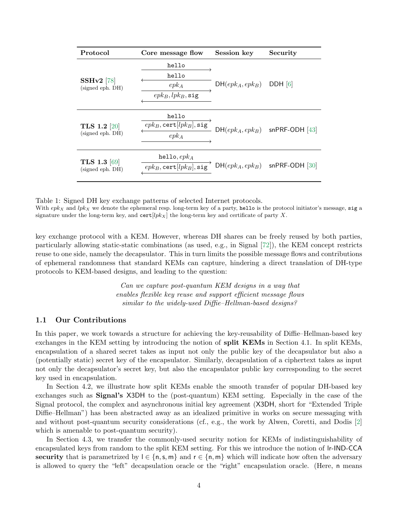<span id="page-3-1"></span>

| Protocol<br>Core message flow           |                                                                      | Session key                | Security                          |
|-----------------------------------------|----------------------------------------------------------------------|----------------------------|-----------------------------------|
|                                         | hello                                                                |                            |                                   |
| $\textbf{SSHv2}$ [78]                   | hello                                                                |                            |                                   |
| (signed eph. DH)                        | $epk_A$                                                              | $DH(epk_A, epk_B)$ DDH [6] |                                   |
|                                         | $epk_B, lpk_B, sig$                                                  |                            |                                   |
|                                         |                                                                      |                            |                                   |
| <b>TLS 1.2</b> [20]<br>(signed eph. DH) | hello<br>$epk_B$ , cert $[lpk_B]$ , sig<br>$epk_A$                   |                            | $DH(epkA, epkB)$ snPRF-ODH [43]   |
| <b>TLS 1.3 [69]</b><br>(signed eph. DH) | hello, $epk_A$<br>$\overline{epk_B, \text{cert}[lpk_B], \text{sig}}$ |                            | $DH(epk_A, epk_B)$ snPRF-ODH [30] |

Table 1: Signed DH key exchange patterns of selected Internet protocols. With  $epk<sub>X</sub>$  and  $lpk<sub>X</sub>$  we denote the ephemeral resp. long-term key of a party, hello is the protocol initiator's message, sig a signature under the long-term key, and cert $[lpk_X]$  the long-term key and certificate of party X.

key exchange protocol with a KEM. However, whereas DH shares can be freely reused by both parties, particularly allowing static-static combinations (as used, e.g., in Signal [\[72\]](#page-23-4)), the KEM concept restricts reuse to one side, namely the decapsulator. This in turn limits the possible message flows and contributions of ephemeral randomness that standard KEMs can capture, hindering a direct translation of DH-type protocols to KEM-based designs, and leading to the question:

> Can we capture post-quantum KEM designs in a way that enables flexible key reuse and support efficient message flows similar to the widely-used Diffie–Hellman-based designs?

### <span id="page-3-0"></span>1.1 Our Contributions

In this paper, we work towards a structure for achieving the key-reusability of Diffie–Hellman-based key exchanges in the KEM setting by introducing the notion of split KEMs in Section [4.1.](#page-10-1) In split KEMs, encapsulation of a shared secret takes as input not only the public key of the decapsulator but also a (potentially static) secret key of the encapsulator. Similarly, decapsulation of a ciphertext takes as input not only the decapsulator's secret key, but also the encapsulator public key corresponding to the secret key used in encapsulation.

In Section [4.2,](#page-12-0) we illustrate how split KEMs enable the smooth transfer of popular DH-based key exchanges such as Signal's X3DH to the (post-quantum) KEM setting. Especially in the case of the Signal protocol, the complex and asynchronous initial key agreement (X3DH, short for "Extended Triple Diffie–Hellman") has been abstracted away as an idealized primitive in works on secure messaging with and without post-quantum security considerations (cf., e.g., the work by Alwen, Coretti, and Dodis [\[2\]](#page-18-3) which is amenable to post-quantum security).

In Section [4.3,](#page-12-1) we transfer the commonly-used security notion for KEMs of indistinguishability of encapsulated keys from random to the split KEM setting. For this we introduce the notion of lr-IND-CCA security that is parametrized by  $l \in \{n, s, m\}$  and  $r \in \{n, m\}$  which will indicate how often the adversary is allowed to query the "left" decapsulation oracle or the "right" encapsulation oracle. (Here, n means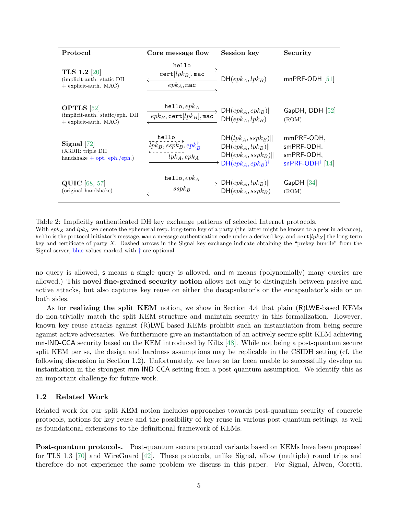<span id="page-4-1"></span>

| Protocol                                                                        | Core message flow                                                                                                     | Session key                                                                                                                             | Security                                                             |
|---------------------------------------------------------------------------------|-----------------------------------------------------------------------------------------------------------------------|-----------------------------------------------------------------------------------------------------------------------------------------|----------------------------------------------------------------------|
| <b>TLS 1.2</b> [20]<br>(implicit-auth. static DH)<br>$+$ explicit-auth. MAC)    | hello<br>$cert[lpk_B],$ mac<br>$epk_A, \texttt{mac}$                                                                  | $DH(epk_A, lpk_B)$                                                                                                                      | mnPRF-ODH $[51]$                                                     |
| <b>OPTLS</b> [52]<br>(implicit-auth. static/eph. DH)<br>$+$ explicit-auth. MAC) | hello, $epk_A$<br>$epk_B$ , cert $[lpk_B]$ , mac                                                                      | $DH(epk_A, epk_B)$<br>$DH(epk_A, lpk_B)$                                                                                                | GapDH, DDH [52]<br>(ROM)                                             |
| Signal $[72]$<br>(X3DH: triple DH<br>handshake $+$ opt. eph./eph.)              | $\begin{array}{c} \texttt{hello} \\ \bar{l}pk_{B},sspk_{B}^{\dagger},epk_{B}^{\dagger} \end{array}$<br>$lpk_A, epk_A$ | $DH(lpk_A, sspk_B)$<br>$DH(epk_A, lpk_B)$<br>$DH(epk_A, sspk_B)$<br>$\rightarrow$ DH(epk <sub>A</sub> , epk <sub>B</sub> ) <sup>†</sup> | mmPRF-ODH,<br>smPRF-ODH,<br>smPRF-ODH,<br>$snPRF-ODH^{\dagger}$ [14] |
| <b>QUIC</b> [68, 57]<br>(original handshake)                                    | hello, $epk_A$<br>$sspk_B$                                                                                            | $\rightarrow$ DH(epk <sub>A</sub> , lpk <sub>B</sub> )  <br>$DH(epk_A, sspk_B)$                                                         | GapDH[34]<br>(ROM)                                                   |

Table 2: Implicitly authenticated DH key exchange patterns of selected Internet protocols.

With  $epk<sub>X</sub>$  and  $lpk<sub>X</sub>$  we denote the ephemeral resp. long-term key of a party (the latter might be known to a peer in advance), hello is the protocol initiator's message, mac a message authentication code under a derived key, and cert $[lpk_X]$  the long-term key and certificate of party  $X$ . Dashed arrows in the Signal key exchange indicate obtaining the "prekey bundle" from the Signal server, blue values marked with  $\dagger$  are optional.

no query is allowed, s means a single query is allowed, and m means (polynomially) many queries are allowed.) This **novel fine-grained security notion** allows not only to distinguish between passive and active attacks, but also captures key reuse on either the decapsulator's or the encapsulator's side or on both sides.

As for realizing the split KEM notion, we show in Section [4.4](#page-15-0) that plain (R)LWE-based KEMs do non-trivially match the split KEM structure and maintain security in this formalization. However, known key reuse attacks against (R)LWE-based KEMs prohibit such an instantiation from being secure against active adversaries. We furthermore give an instantiation of an actively-secure split KEM achieving mn-IND-CCA security based on the KEM introduced by Kiltz [\[48\]](#page-21-5). While not being a post-quantum secure split KEM per se, the design and hardness assumptions may be replicable in the CSIDH setting (cf. the following discussion in Section [1.2\)](#page-4-0). Unfortunately, we have so far been unable to successfully develop an instantiation in the strongest mm-IND-CCA setting from a post-quantum assumption. We identify this as an important challenge for future work.

### <span id="page-4-0"></span>1.2 Related Work

Related work for our split KEM notion includes approaches towards post-quantum security of concrete protocols, notions for key reuse and the possibility of key reuse in various post-quantum settings, as well as foundational extensions to the definitional framework of KEMs.

Post-quantum protocols. Post-quantum secure protocol variants based on KEMs have been proposed for TLS 1.3 [\[70\]](#page-23-8) and WireGuard [\[42\]](#page-21-6). These protocols, unlike Signal, allow (multiple) round trips and therefore do not experience the same problem we discuss in this paper. For Signal, Alwen, Coretti,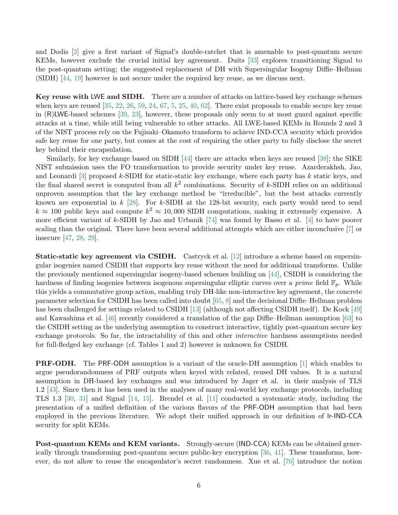and Dodis [\[2\]](#page-18-3) give a first variant of Signal's double-ratchet that is amenable to post-quantum secure KEMs, however exclude the crucial initial key agreement. Duits [\[33\]](#page-21-7) explores transitioning Signal to the post-quantum setting; the suggested replacement of DH with Supersingular Isogeny Diffie–Hellman (SIDH) [\[44,](#page-21-8) [19\]](#page-20-4) however is not secure under the required key reuse, as we discuss next.

Key reuse with LWE and SIDH. There are a number of attacks on lattice-based key exchange schemes when keys are reused  $[35, 22, 26, 59, 24, 67, 5, 25, 40, 62]$  $[35, 22, 26, 59, 24, 67, 5, 25, 40, 62]$  $[35, 22, 26, 59, 24, 67, 5, 25, 40, 62]$  $[35, 22, 26, 59, 24, 67, 5, 25, 40, 62]$  $[35, 22, 26, 59, 24, 67, 5, 25, 40, 62]$  $[35, 22, 26, 59, 24, 67, 5, 25, 40, 62]$  $[35, 22, 26, 59, 24, 67, 5, 25, 40, 62]$  $[35, 22, 26, 59, 24, 67, 5, 25, 40, 62]$  $[35, 22, 26, 59, 24, 67, 5, 25, 40, 62]$  $[35, 22, 26, 59, 24, 67, 5, 25, 40, 62]$  $[35, 22, 26, 59, 24, 67, 5, 25, 40, 62]$  $[35, 22, 26, 59, 24, 67, 5, 25, 40, 62]$  $[35, 22, 26, 59, 24, 67, 5, 25, 40, 62]$  $[35, 22, 26, 59, 24, 67, 5, 25, 40, 62]$  $[35, 22, 26, 59, 24, 67, 5, 25, 40, 62]$  $[35, 22, 26, 59, 24, 67, 5, 25, 40, 62]$  $[35, 22, 26, 59, 24, 67, 5, 25, 40, 62]$  $[35, 22, 26, 59, 24, 67, 5, 25, 40, 62]$  $[35, 22, 26, 59, 24, 67, 5, 25, 40, 62]$ . There exist proposals to enable secure key reuse in (R)LWE-based schemes [\[39,](#page-21-11) [23\]](#page-20-9), however, these proposals only seem to at most guard against specific attacks at a time, while still being vulnerable to other attacks. All LWE-based KEMs in Rounds 2 and 3 of the NIST process rely on the Fujisaki–Okamoto transform to achieve IND-CCA security which provides safe key reuse for one party, but comes at the cost of requiring the other party to fully disclose the secret key behind their encapsulation.

Similarly, for key exchange based on SIDH [\[44\]](#page-21-8) there are attacks when keys are reused [\[38\]](#page-21-12); the SIKE NIST submission uses the FO transformation to provide security under key reuse. Azarderakhsh, Jao, and Leonardi [\[3\]](#page-18-4) proposed k-SIDH for static-static key exchange, where each party has k static keys, and the final shared secret is computed from all  $k^2$  combinations. Security of k-SIDH relies on an additional unproven assumption that the key exchange method be "irreducible", but the best attacks currently known are exponential in k [\[28\]](#page-20-10). For k-SIDH at the 128-bit security, each party would need to send  $k \approx 100$  public keys and compute  $k^2 \approx 10,000$  SIDH computations, making it extremely expensive. A more efficient variant of k-SIDH by Jao and Urbanik [\[74\]](#page-23-10) was found by Basso et al. [\[4\]](#page-19-6) to have poorer scaling than the original. There have been several additional attempts which are either inconclusive [\[7\]](#page-19-7) or insecure [\[47,](#page-21-13) [28,](#page-20-10) [29\]](#page-20-11).

Static-static key agreement via CSIDH. Castryck et al. [\[12\]](#page-19-8) introduce a scheme based on supersingular isogenies named CSIDH that supports key reuse without the need for additional transforms. Unlike the previously mentioned supersingular isogeny-based schemes building on [\[44\]](#page-21-8), CSIDH is considering the hardness of finding isogenies between isogenous supersingular elliptic curves over a *prime* field  $\mathbb{F}_n$ . While this yields a commutative group action, enabling truly DH-like non-interactive key agreement, the concrete parameter selection for CSIDH has been called into doubt [\[65,](#page-23-11) [8\]](#page-19-9) and the decisional Diffie–Hellman problem has been challenged for settings related to CSIDH [\[13\]](#page-19-10) (although not affecting CSIDH itself). De Kock [\[49\]](#page-22-12) and Kawashima et al. [\[46\]](#page-21-14) recently considered a translation of the gap Diffie–Hellman assumption [\[63\]](#page-22-2) to the CSIDH setting as the underlying assumption to construct interactive, tightly post-quantum secure key exchange protocols. So far, the intractability of this and other *interactive* hardness assumptions needed for full-fledged key exchange (cf. Tables [1](#page-3-1) and [2\)](#page-4-1) however is unknown for CSIDH.

PRF-ODH. The PRF-ODH assumption is a variant of the oracle-DH assumption [\[1\]](#page-18-2) which enables to argue pseudorandomness of PRF outputs when keyed with related, reused DH values. It is a natural assumption in DH-based key exchanges and was introduced by Jager et al. in their analysis of TLS 1.2 [\[43\]](#page-21-0). Since then it has been used in the analyses of many real-world key exchange protocols, including TLS 1.3 [\[30,](#page-20-2) [31\]](#page-20-12) and Signal [\[14,](#page-19-2) [15\]](#page-19-11). Brendel et al. [\[11\]](#page-19-0) conducted a systematic study, including the presentation of a unified definition of the various flavors of the PRF-ODH assumption that had been employed in the previous literature. We adopt their unified approach in our definition of lr-IND-CCA security for split KEMs.

Post-quantum KEMs and KEM variants. Strongly-secure (IND-CCA) KEMs can be obtained generically through transforming post-quantum secure public-key encryption [\[36,](#page-21-1) [41\]](#page-21-3). These transforms, however, do not allow to reuse the encapsulator's secret randomness. Xue et al. [\[76\]](#page-23-12) introduce the notion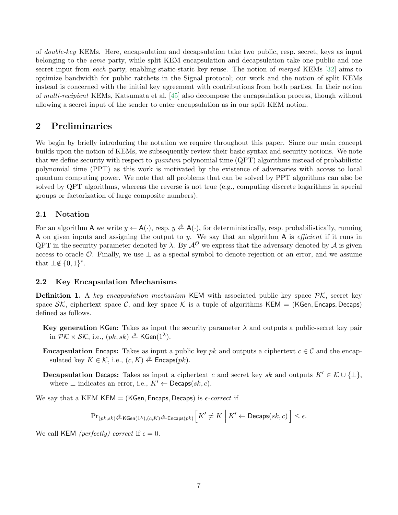of double-key KEMs. Here, encapsulation and decapsulation take two public, resp. secret, keys as input belonging to the *same* party, while split KEM encapsulation and decapsulation take one public and one secret input from each party, enabling static-static key reuse. The notion of merged KEMs [\[32\]](#page-20-13) aims to optimize bandwidth for public ratchets in the Signal protocol; our work and the notion of split KEMs instead is concerned with the initial key agreement with contributions from both parties. In their notion of multi-recipient KEMs, Katsumata et al. [\[45\]](#page-21-15) also decompose the encapsulation process, though without allowing a secret input of the sender to enter encapsulation as in our split KEM notion.

# <span id="page-6-0"></span>2 Preliminaries

We begin by briefly introducing the notation we require throughout this paper. Since our main concept builds upon the notion of KEMs, we subsequently review their basic syntax and security notions. We note that we define security with respect to quantum polynomial time (QPT) algorithms instead of probabilistic polynomial time (PPT) as this work is motivated by the existence of adversaries with access to local quantum computing power. We note that all problems that can be solved by PPT algorithms can also be solved by QPT algorithms, whereas the reverse is not true (e.g., computing discrete logarithms in special groups or factorization of large composite numbers).

### <span id="page-6-1"></span>2.1 Notation

For an algorithm A we write  $y \leftarrow A(\cdot)$ , resp.  $y \xleftarrow{\$} A(\cdot)$ , for deterministically, resp. probabilistically, running A on given inputs and assigning the output to  $y$ . We say that an algorithm A is *efficient* if it runs in QPT in the security parameter denoted by  $\lambda$ . By  $\mathcal{A}^{\mathcal{O}}$  we express that the adversary denoted by  $\mathcal{A}$  is given access to oracle  $\mathcal{O}$ . Finally, we use  $\perp$  as a special symbol to denote rejection or an error, and we assume that  $\perp \notin \{0,1\}^*$ .

### <span id="page-6-2"></span>2.2 Key Encapsulation Mechanisms

**Definition 1.** A key encapsulation mechanism KEM with associated public key space  $\mathcal{PK}$ , secret key space  $\mathcal{SK}$ , ciphertext space C, and key space K is a tuple of algorithms KEM = (KGen, Encaps, Decaps) defined as follows.

- Key generation KGen: Takes as input the security parameter  $\lambda$  and outputs a public-secret key pair in  $\mathcal{PK} \times \mathcal{SK}$ , i.e.,  $(pk, sk) \overset{\hspace{0.1em}\mathsf{\scriptscriptstyle\$}}{\leftarrow} \mathsf{KGen}(1^\lambda).$
- **Encapsulation** Encaps: Takes as input a public key pk and outputs a ciphertext  $c \in \mathcal{C}$  and the encapsulated key  $K \in \mathcal{K}$ , i.e.,  $(c, K) \stackrel{\$}{\leftarrow}$  Encaps $(pk)$ .
- **Decapsulation** Decaps: Takes as input a ciphertext c and secret key sk and outputs  $K' \in \mathcal{K} \cup \{\perp\},\$ where  $\perp$  indicates an error, i.e.,  $K' \leftarrow \mathsf{Decaps}(sk, c)$ .

We say that a KEM KEM = (KGen, Encaps, Decaps) is  $\epsilon$ -correct if

$$
\mathrm{Pr}_{(pk, sk) \xleftarrow{\$} \mathsf{KGen}(1^{\lambda}), (c, K) \xleftarrow{\$} \mathsf{Encaps}(pk)} \Big[K' \neq K \;\Big|\, K' \leftarrow \mathsf{Decaps}(sk, c) \,\Big] \leq \epsilon.
$$

We call KEM *(perfectly)* correct if  $\epsilon = 0$ .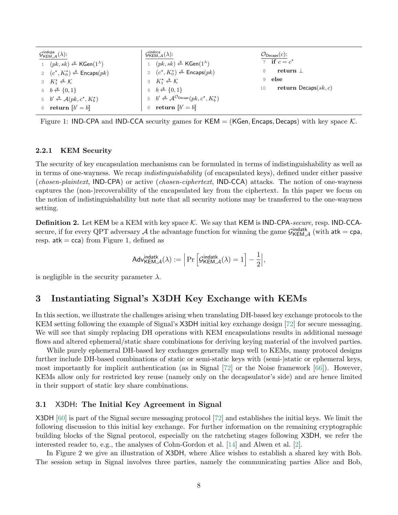<span id="page-7-3"></span>

| $\mathcal{G}_{\mathsf{KEM},\mathcal{A}}^{\mathsf{indcpa}}(\lambda)$ : | $\mathcal{G}_{\mathsf{KEM}.\mathcal{A}}^{\mathsf{indcca}}(\lambda)$ :                        | $\mathcal{O}_{\sf Decaps}(c)$ : |
|-----------------------------------------------------------------------|----------------------------------------------------------------------------------------------|---------------------------------|
| 1 $(pk, sk) \xleftarrow{\$} \mathsf{KGen}(1^{\lambda})$               | $(pk, sk) \xleftarrow{\$} \mathsf{KGen}(1^{\lambda})$                                        | 7 if $c = c^*$                  |
| 2 $(c^*, K_0^*) \xleftarrow{\$}$ Encaps $(pk)$                        | 2 $(c^*, K_0^*) \xleftarrow{\$}$ Encaps $(pk)$                                               | return $\perp$<br>8             |
| 3 $K_1^* \triangleq \mathcal{K}$                                      | 3 $K_1^* \xleftarrow{\$} \mathcal{K}$                                                        | else<br>9                       |
| 4 $b \stackrel{\$}{\leftarrow} \{0,1\}$                               | 4 $b \stackrel{\$}{\leftarrow} \{0,1\}$                                                      | return Decaps $(sk, c)$<br>10   |
| 5 $b' \xleftarrow{\$} \mathcal{A}(pk, c^{\star}, K^{\star}_b)$        | 5 $b' \xleftarrow{\$} \mathcal{A}^{\mathcal{O}_{\text{Decaps}}}(pk, c^{\star}, K_b^{\star})$ |                                 |
| 6 return $[b' = b]$                                                   | 6 return $[b' = b]$                                                                          |                                 |

Figure 1: IND-CPA and IND-CCA security games for KEM = (KGen, Encaps, Decaps) with key space  $K$ .

#### <span id="page-7-0"></span>2.2.1 KEM Security

The security of key encapsulation mechanisms can be formulated in terms of indistinguishability as well as in terms of one-wayness. We recap *indistinguishability* (of encapsulated keys), defined under either passive (chosen-plaintext, IND-CPA) or active (chosen-ciphertext, IND-CCA) attacks. The notion of one-wayness captures the (non-)recoverability of the encapsulated key from the ciphertext. In this paper we focus on the notion of indistinguishability but note that all security notions may be transferred to the one-wayness setting.

**Definition 2.** Let KEM be a KEM with key space  $K$ . We say that KEM is IND-CPA-secure, resp. IND-CCAsecure, if for every QPT adversary  $\mathcal A$  the advantage function for winning the game  $\mathcal G_{\mathsf{KEM},\mathcal A}^{\mathsf{indatk}}$  (with  $\mathsf{atk}=\mathsf{cpa},$ resp.  $atk = cca$ ) from Figure [1,](#page-7-3) defined as

$$
\mathsf{Adv}_{\mathsf{KEM},\mathcal{A}}^{\mathsf{indatk}}(\lambda) := \Big|\Pr\Big[\mathcal{G}_{\mathsf{KEM},\mathcal{A}}^{\mathsf{indatk}}(\lambda) = 1\Big] - \frac{1}{2}\Big|,
$$

is negligible in the security parameter  $\lambda$ .

### <span id="page-7-1"></span>3 Instantiating Signal's X3DH Key Exchange with KEMs

In this section, we illustrate the challenges arising when translating DH-based key exchange protocols to the KEM setting following the example of Signal's X3DH initial key exchange design [\[72\]](#page-23-4) for secure messaging. We will see that simply replacing DH operations with KEM encapsulations results in additional message flows and altered ephemeral/static share combinations for deriving keying material of the involved parties.

While purely ephemeral DH-based key exchanges generally map well to KEMs, many protocol designs further include DH-based combinations of static or semi-static keys with (semi-)static or ephemeral keys, most importantly for implicit authentication (as in Signal [\[72\]](#page-23-4) or the Noise framework [\[66\]](#page-23-13)). However, KEMs allow only for restricted key reuse (namely only on the decapsulator's side) and are hence limited in their support of static key share combinations.

### <span id="page-7-2"></span>3.1 X3DH: The Initial Key Agreement in Signal

X3DH [\[60\]](#page-22-13) is part of the Signal secure messaging protocol [\[72\]](#page-23-4) and establishes the initial keys. We limit the following discussion to this initial key exchange. For further information on the remaining cryptographic building blocks of the Signal protocol, especially on the ratcheting stages following X3DH, we refer the interested reader to, e.g., the analyses of Cohn-Gordon et al. [\[14\]](#page-19-2) and Alwen et al. [\[2\]](#page-18-3).

In Figure [2](#page-8-0) we give an illustration of X3DH, where Alice wishes to establish a shared key with Bob. The session setup in Signal involves three parties, namely the communicating parties Alice and Bob,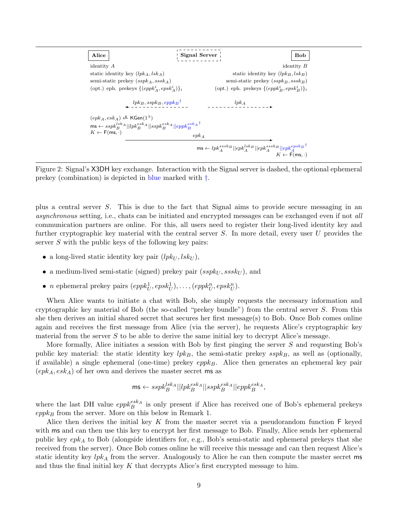<span id="page-8-0"></span>

Figure 2: Signal's X3DH key exchange. Interaction with the Signal server is dashed, the optional ephemeral prekey (combination) is depicted in blue marked with  $\dagger$ .

plus a central server S. This is due to the fact that Signal aims to provide secure messaging in an asynchronous setting, i.e., chats can be initiated and encrypted messages can be exchanged even if not all communication partners are online. For this, all users need to register their long-lived identity key and further cryptographic key material with the central server  $S$ . In more detail, every user U provides the server  $S$  with the public keys of the following key pairs:

- a long-lived static identity key pair  $(lpk_U, lsk_U)$ ,
- a medium-lived semi-static (signed) prekey pair  $(sspkv, sssk_U)$ , and
- *n* ephemeral prekey pairs  $(eppk_U^1, epsk_U^1), \ldots, (eppk_U^n, epsk_U^n).$

When Alice wants to initiate a chat with Bob, she simply requests the necessary information and cryptographic key material of Bob (the so-called "prekey bundle") from the central server S. From this she then derives an initial shared secret that secures her first message(s) to Bob. Once Bob comes online again and receives the first message from Alice (via the server), he requests Alice's cryptographic key material from the server  $S$  to be able to derive the same initial key to decrypt Alice's message.

More formally, Alice initiates a session with Bob by first pinging the server  $S$  and requesting Bob's public key material: the static identity key  $lpk_B$ , the semi-static prekey  $sspk_B$ , as well as (optionally, if available) a single ephemeral (one-time) prekey  $eppk_B$ . Alice then generates an ephemeral key pair  $(epk<sub>A</sub>, esk<sub>A</sub>)$  of her own and derives the master secret ms as

$$
\textsf{ms} \gets \mathit{sspk}_B^{\mathit{lsk}_A}||\mathit{lpk}_B^{\mathit{esk}_A}||\mathit{sspk}_B^{\mathit{esk}_A}||\mathit{eppk}_B^{\mathit{esk}_A},
$$

where the last DH value  $eppk_B^{esk_A}$  is only present if Alice has received one of Bob's ephemeral prekeys  $eppk_B$  from the server. More on this below in Remark [1.](#page-8-1)

<span id="page-8-1"></span>Alice then derives the initial key K from the master secret via a pseudorandom function  $\mathsf F$  keyed with ms and can then use this key to encrypt her first message to Bob. Finally, Alice sends her ephemeral public key  $epk_A$  to Bob (alongside identifiers for, e.g., Bob's semi-static and ephemeral prekeys that she received from the server). Once Bob comes online he will receive this message and can then request Alice's static identity key  $lpk_A$  from the server. Analogously to Alice he can then compute the master secret ms and thus the final initial key  $K$  that decrypts Alice's first encrypted message to him.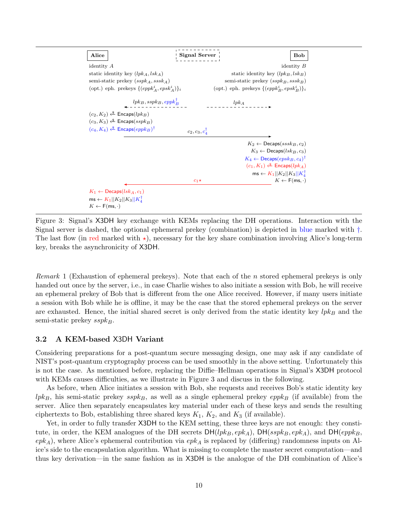<span id="page-9-1"></span>

| identity $A$                                                    |                         | identity $B$                                                 |
|-----------------------------------------------------------------|-------------------------|--------------------------------------------------------------|
| static identity key $(lpkA, lskA)$                              |                         | static identity key $(lpk_B,lsk_B)$                          |
| semi-static prekey $(sspk_A,sssk_A)$                            |                         | semi-static prekey $(sspk_B,sssk_B)$                         |
| (opt.) eph. prekeys $\{(eppk_A^i, epsk_A^i)\}_i$                |                         | (opt.) eph. prekeys $\{(eppk_B^i, epsk_B^i)\}_i$             |
| $lpk_B, sspk_B, eppk_B^{\dagger}$                               |                         | $lpk_A$                                                      |
| $(c_2, K_2) \xleftarrow{\$}$ Encaps(lpk <sub>B</sub> )          |                         |                                                              |
| $(c_3, K_3) \xleftarrow{\$}$ Encaps $(sspk_B)$                  |                         |                                                              |
| $(c_4, K_4) \overset{\$}{\leftarrow}$ Encaps $(eppk_B)^\dagger$ | $c_2, c_3, c_4^{\rm T}$ |                                                              |
|                                                                 |                         | $K_2 \leftarrow$ Decaps(sss $k_B, c_2$ )                     |
|                                                                 |                         | $K_3 \leftarrow$ Decaps( $lsk_B, c_3$ )                      |
|                                                                 |                         | $K_4 \leftarrow$ Decaps $\left(epsk_B, c_4\right)^\dagger$   |
|                                                                 |                         | $(c_1, K_1) \overset{\$}{\leftarrow}$ Encaps $(lpk_A)$       |
|                                                                 |                         |                                                              |
|                                                                 |                         | $\mathsf{ms} \leftarrow K_1    K_2    K_3    K_4^\mathsf{T}$ |

Figure 3: Signal's X3DH key exchange with KEMs replacing the DH operations. Interaction with the Signal server is dashed, the optional ephemeral prekey (combination) is depicted in blue marked with †. The last flow (in red marked with  $\star$ ), necessary for the key share combination involving Alice's long-term key, breaks the asynchronicity of X3DH.

Remark 1 (Exhaustion of ephemeral prekeys). Note that each of the n stored ephemeral prekeys is only handed out once by the server, i.e., in case Charlie wishes to also initiate a session with Bob, he will receive an ephemeral prekey of Bob that is different from the one Alice received. However, if many users initiate a session with Bob while he is offline, it may be the case that the stored ephemeral prekeys on the server are exhausted. Hence, the initial shared secret is only derived from the static identity key  $lpk_B$  and the semi-static prekey  $sspk_B$ .

#### <span id="page-9-0"></span>3.2 A KEM-based X3DH Variant

Considering preparations for a post-quantum secure messaging design, one may ask if any candidate of NIST's post-quantum cryptography process can be used smoothly in the above setting. Unfortunately this is not the case. As mentioned before, replacing the Diffie–Hellman operations in Signal's X3DH protocol with KEMs causes difficulties, as we illustrate in Figure [3](#page-9-1) and discuss in the following.

As before, when Alice initiates a session with Bob, she requests and receives Bob's static identity key  $lpk_B$ , his semi-static prekey sspk<sub>B</sub>, as well as a single ephemeral prekey eppk<sub>B</sub> (if available) from the server. Alice then separately encapsulates key material under each of these keys and sends the resulting ciphertexts to Bob, establishing three shared keys  $K_1$ ,  $K_2$ , and  $K_3$  (if available).

Yet, in order to fully transfer X3DH to the KEM setting, these three keys are not enough: they constitute, in order, the KEM analogues of the DH secrets  $DH(lpk_B, epk_A)$ ,  $DH(sspk_B, epk_A)$ , and  $DH(epk_B, pk_A)$  $epk_A$ ), where Alice's ephemeral contribution via  $epk_A$  is replaced by (differing) randomness inputs on Alice's side to the encapsulation algorithm. What is missing to complete the master secret computation—and thus key derivation—in the same fashion as in X3DH is the analogue of the DH combination of Alice's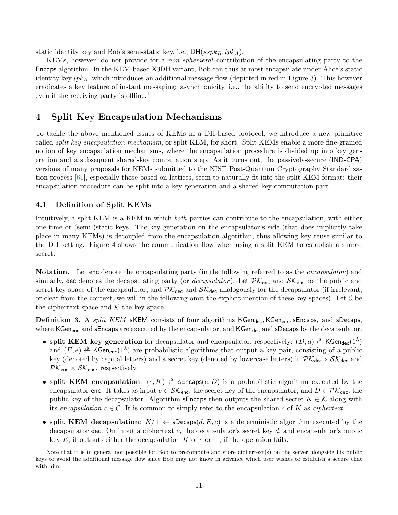static identity key and Bob's semi-static key, i.e.,  $DH(sspk_B, lpk_A)$ .

KEMs, however, do not provide for a non-ephemeral contribution of the encapsulating party to the Encaps algorithm. In the KEM-based X3DH variant, Bob can thus at most encapsulate under Alice's static identity key  $lpk_A$ , which introduces an additional message flow (depicted in red in Figure [3\)](#page-9-1). This however eradicates a key feature of instant messaging: asynchronicity, i.e., the ability to send encrypted messages even if the receiving party is offline.<sup>[1](#page-10-2)</sup>

# <span id="page-10-0"></span>4 Split Key Encapsulation Mechanisms

To tackle the above mentioned issues of KEMs in a DH-based protocol, we introduce a new primitive called *split key encapsulation mechanism*, or split KEM, for short. Split KEMs enable a more fine-grained notion of key encapsulation mechanisms, where the encapsulation procedure is divided up into key generation and a subsequent shared-key computation step. As it turns out, the passively-secure (IND-CPA) versions of many proposals for KEMs submitted to the NIST Post-Quantum Cryptography Standardization process [\[61\]](#page-22-5), especially those based on lattices, seem to naturally fit into the split KEM format: their encapsulation procedure can be split into a key generation and a shared-key computation part.

### <span id="page-10-1"></span>4.1 Definition of Split KEMs

Intuitively, a split KEM is a KEM in which both parties can contribute to the encapsulation, with either one-time or (semi-)static keys. The key generation on the encapsulator's side (that does implicitly take place in many KEMs) is decoupled from the encapsulation algorithm, thus allowing key reuse similar to the DH setting. Figure [4](#page-11-0) shows the communication flow when using a split KEM to establish a shared secret.

Notation. Let enc denote the encapsulating party (in the following referred to as the *encapsulator*) and similarly, dec denotes the decapsulating party (or *decapsulator*). Let  $\mathcal{PK}_{\mathsf{enc}}$  and  $\mathcal{SK}_{\mathsf{enc}}$  be the public and secret key space of the encapsulator, and  $\mathcal{PK}_{\text{dec}}$  and  $\mathcal{SK}_{\text{dec}}$  analogously for the decapsulator (if irrelevant, or clear from the context, we will in the following omit the explicit mention of these key spaces). Let  $\mathcal C$  be the ciphertext space and  $K$  the key space.

Definition 3. A split KEM sKEM consists of four algorithms KGendec, KGenenc, sEncaps, and sDecaps, where KGen<sub>enc</sub> and sEncaps are executed by the encapsulator, and KGen<sub>dec</sub> and sDecaps by the decapsulator.

- split KEM key generation for decapsulator and encapsulator, respectively:  $(D,d) \stackrel{\$}{\leftarrow}$  KGen<sub>dec</sub>(1<sup>λ</sup>) and  $(E, e) \overset{\text{*}}{\leftarrow}$  KGen<sub>enc</sub>(1<sup> $\lambda$ </sup>) are probabilistic algorithms that output a key pair, consisting of a public key (denoted by capital letters) and a secret key (denoted by lowercase letters) in  $\mathcal{PK}_{\text{dec}} \times \mathcal{SK}_{\text{dec}}$  and  $\mathcal{PK}_{\mathsf{enc}} \times \mathcal{SK}_{\mathsf{enc}}$ , respectively.
- split KEM encapsulation:  $(c, K) \xleftarrow{s}$  sEncaps $(e, D)$  is a probabilistic algorithm executed by the encapsulator enc. It takes as input  $e \in \mathcal{SK}_{\mathsf{enc}}$ , the secret key of the encapsulator, and  $D \in \mathcal{PK}_{\mathsf{dec}}$ , the public key of the decapsulator. Algorithm sEncaps then outputs the shared secret  $K \in \mathcal{K}$  along with its encapsulation  $c \in \mathcal{C}$ . It is common to simply refer to the encapsulation c of K as ciphertext.
- split KEM decapsulation:  $K/\perp \leftarrow s$ Decaps $(d, E, c)$  is a deterministic algorithm executed by the decapsulator dec. On input a ciphertext c, the decapsulator's secret key  $d$ , and encapsulator's public key E, it outputs either the decapsulation K of c or  $\perp$ , if the operation fails.

<span id="page-10-2"></span><sup>&</sup>lt;sup>1</sup>Note that it is in general not possible for Bob to precompute and store ciphertext(s) on the server alongside his public keys to avoid the additional message flow since Bob may not know in advance which user wishes to establish a secure chat with him.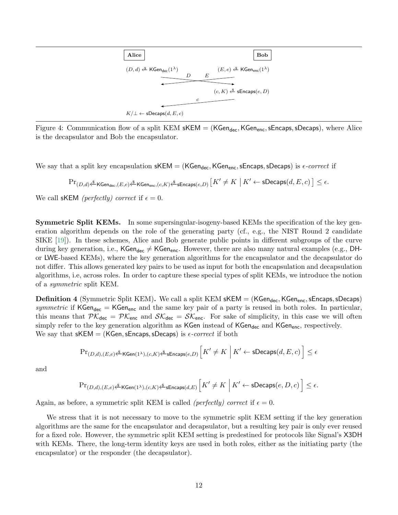<span id="page-11-0"></span>

Figure 4: Communication flow of a split KEM  $s$ KEM = (KGen<sub>dec</sub>, KGen<sub>enc</sub>, sEncaps, sDecaps), where Alice is the decapsulator and Bob the encapsulator.

We say that a split key encapsulation  $sKEM = (KGen_{dec},KGen_{enc},\text{sEncaps},\text{sDecaps})$  is  $\epsilon\text{-correct}$  if

$$
\mathrm{Pr}_{(D,d)\xleftarrow{\$} \mathsf{KGen}_{\mathsf{dec}},(E,e)\xleftarrow{\$} \mathsf{KGen}_{\mathsf{enc}},(c,K)\xleftarrow{\$} \mathsf{sEncaps}(e,D)} \big[K' \neq K \;\big|\; K' \leftarrow \mathsf{sDecaps}(d,E,c)\,\big] \leq \epsilon.
$$

We call sKEM *(perfectly)* correct if  $\epsilon = 0$ .

Symmetric Split KEMs. In some supersingular-isogeny-based KEMs the specification of the key generation algorithm depends on the role of the generating party (cf., e.g., the NIST Round 2 candidate SIKE [\[19\]](#page-20-4)). In these schemes, Alice and Bob generate public points in different subgroups of the curve during key generation, i.e., KGen<sub>dec</sub>  $\neq$  KGen<sub>enc</sub>. However, there are also many natural examples (e.g., DHor LWE-based KEMs), where the key generation algorithms for the encapsulator and the decapsulator do not differ. This allows generated key pairs to be used as input for both the encapsulation and decapsulation algorithms, i.e, across roles. In order to capture these special types of split KEMs, we introduce the notion of a symmetric split KEM.

**Definition 4** (Symmetric Split KEM). We call a split KEM  $s$ KEM = (KGen<sub>dec</sub>, KGen<sub>enc</sub>, sEncaps, sDecaps) symmetric if  $KGen_{dec} = KGen_{enc}$  and the same key pair of a party is reused in both roles. In particular, this means that  $\mathcal{PK}_{\text{dec}} = \mathcal{PK}_{\text{enc}}$  and  $\mathcal{SK}_{\text{dec}} = \mathcal{SK}_{\text{enc}}$ . For sake of simplicity, in this case we will often simply refer to the key generation algorithm as KGen instead of  $KGen_{dec}$  and  $KGen_{enc}$ , respectively. We say that  $sKEM = (KGen, sEncaps, sDecaps)$  is  $\epsilon\text{-}correct$  if both

$$
\mathrm{Pr}_{(D,d),(E,e)\xleftarrow{\$} \mathsf{KGen}(1^{\lambda}),(c,K)\xleftarrow{\$} \mathsf{sEncaps}(e,D)} \Big[K' \neq K \;\Big|\, K' \leftarrow \mathsf{sDecaps}(d,E,c) \,\Big] \leq \epsilon
$$

and

$$
\mathrm{Pr}_{(D,d),(E,e) \xleftarrow{\$} \mathsf{KGen}(1^{\lambda}),(c,K) \xleftarrow{\$} \mathsf{sEncaps}(d,E)} \Big[ K' \neq K \; \Big| \, K' \leftarrow \mathsf{sDecaps}(e,D,c) \, \Big] \leq \epsilon.
$$

Again, as before, a symmetric split KEM is called *(perfectly) correct* if  $\epsilon = 0$ .

We stress that it is not necessary to move to the symmetric split KEM setting if the key generation algorithms are the same for the encapsulator and decapsulator, but a resulting key pair is only ever reused for a fixed role. However, the symmetric split KEM setting is predestined for protocols like Signal's X3DH with KEMs. There, the long-term identity keys are used in both roles, either as the initiating party (the encapsulator) or the responder (the decapsulator).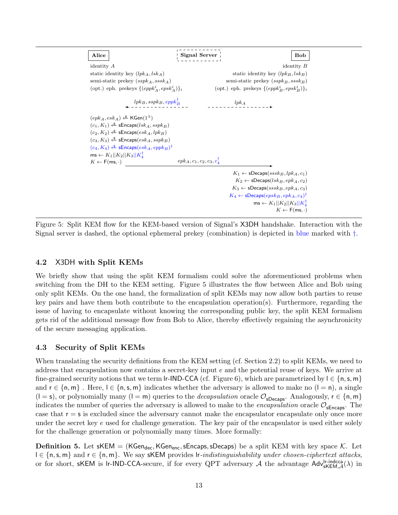```
Alice Signal Server Bob
identity A identity B
static identity key (lpk_A, lsk_A) static identity key (lpk_B, lsk_B)semi-static prekey (sspk_A, sssk_A) semi-static prekey (sspk_B, sssk_B)(opt.) eph. prekeys \{(eppk_A^i,epsk_{A}^i,\{(\text{opt.}) \text{ eph. prekeys } \{(\text{eppk}_B^i, \text{eps}k_B^i)\}_i\}lpk_B, sspk_B, eppk]lpk_{A}% =\allowbreak 1_{B_{A}}\allowbreak 1_{B_{A}}(epk_A, esk_A) \xleftarrow{\$} \mathsf{KGen}(1^\lambda)(c_1, K_1) \xleftarrow{\$} sEncaps(lsk_A, sspk_B)(c_2, K_2) \xleftarrow{\$} sEncaps(esk_A, lpk_B)(c_3, K_3) \xleftarrow{\$} sEncaps(esk_A, sspk_B)(c_4, K_4) \xleftarrow{\$} sEncaps(esk_A, eppk_B)<sup>†</sup>
ms \leftarrow K_{1}||K_{2}||K_{3}||K_{4}^{\dagger}K \leftarrow \mathsf{F}(\mathsf{ms}, \cdot)†
4
                                                                         K_1 \leftarrow \mathsf{sDecaps}(sssk_B, lpk_A, c_1)K_2 \leftarrow \mathsf{sDecaps}(lsk_B, epk_A, c_2)K_3 \leftarrow \mathsf{sDecaps}(sssk_B, epk_A, c_3)K_4 \leftarrow \mathsf{sDecaps}(epsk_B, epk_A, c_4)^\daggerms \leftarrow K_{1}||K_{2}||K_{3}||K_{4}^{\dagger}K \leftarrow F(ms, \cdot)
```
Figure 5: Split KEM flow for the KEM-based version of Signal's X3DH handshake. Interaction with the Signal server is dashed, the optional ephemeral prekey (combination) is depicted in blue marked with  $\dagger$ .

### <span id="page-12-0"></span>4.2 X3DH with Split KEMs

We briefly show that using the split KEM formalism could solve the aforementioned problems when switching from the DH to the KEM setting. Figure [5](#page-12-2) illustrates the flow between Alice and Bob using only split KEMs. On the one hand, the formalization of split KEMs may now allow both parties to reuse key pairs and have them both contribute to the encapsulation operation(s). Furthermore, regarding the issue of having to encapsulate without knowing the corresponding public key, the split KEM formalism gets rid of the additional message flow from Bob to Alice, thereby effectively regaining the asynchronicity of the secure messaging application.

#### <span id="page-12-1"></span>4.3 Security of Split KEMs

When translating the security definitions from the KEM setting (cf. Section [2.2\)](#page-6-2) to split KEMs, we need to address that encapsulation now contains a secret-key input e and the potential reuse of keys. We arrive at fine-grained security notions that we term lr-IND-CCA (cf. Figure [6\)](#page-13-0), which are parametrized by  $l \in \{n, s, m\}$ and  $r \in \{n, m\}$ . Here,  $l \in \{n, s, m\}$  indicates whether the adversary is allowed to make no  $(l = n)$ , a single (l = s), or polynomially many (l = m) queries to the *decapsulation* oracle  $\mathcal{O}_{\text{sDecans}}$ . Analogously,  $r \in \{n, m\}$ indicates the number of queries the adversary is allowed to make to the *encapsulation* oracle  $\mathcal{O}_{\mathsf{sFncans}}$ . The case that  $r = s$  is excluded since the adversary cannot make the encapsulator encapsulate only once more under the secret key  $e$  used for challenge generation. The key pair of the encapsulator is used either solely for the challenge generation or polynomially many times. More formally:

**Definition 5.** Let  $sKEM = (KGen_{dec}, KGen_{enc}, sEncaps, sDecaps)$  be a split KEM with key space K. Let  $l \in \{n, s, m\}$  and  $r \in \{n, m\}$ . We say sKEM provides lr-indistinguishability under chosen-ciphertext attacks, or for short, **sKEM** is lr-IND-CCA-secure, if for every QPT adversary A the advantage  $Adv_{sKEM,A}^{l_{r}\text{-}indexa}(\lambda)$  in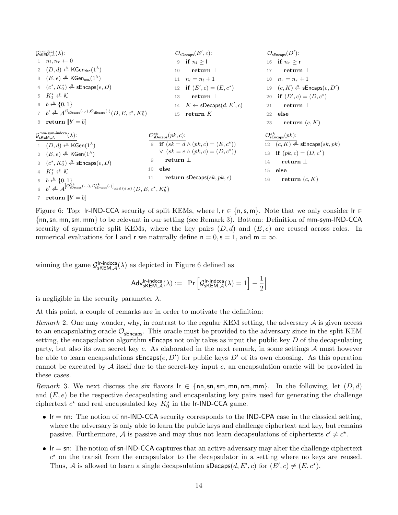<span id="page-13-0"></span>

| $\mathcal{G}_{\text{sKEM.A}}^{\text{lr-induced}}(\lambda)$ :                                                                                                                                                            | $\mathcal{O}_{\mathsf{sDecaps}}(E', c)$ :      | $\mathcal{O}_{\mathsf{sEncaps}}(D')$ :         |
|-------------------------------------------------------------------------------------------------------------------------------------------------------------------------------------------------------------------------|------------------------------------------------|------------------------------------------------|
| 1 $n_l, n_r \leftarrow 0$                                                                                                                                                                                               | 9 if $n_l > l$                                 | 16 if $n_r > r$                                |
| 2 $(D,d) \stackrel{\$}{\leftarrow}$ KGen <sub>dec</sub> $(1^{\lambda})$                                                                                                                                                 | return $\perp$<br>10                           | return $\perp$<br>17                           |
| 3 $(E, e) \stackrel{\$}{\leftarrow}$ KGen <sub>enc</sub> $(1^{\lambda})$                                                                                                                                                | 11 $n_l = n_l + 1$                             | 18 $n_r = n_r + 1$                             |
| 4 $(c^*, K_0^*) \xleftarrow{\$}$ sEncaps $(e, D)$                                                                                                                                                                       | 12 if $(E', c) = (E, c^*)$                     | 19 $(c, K) \xleftarrow{\$}$ sEncaps $(e, D')$  |
| 5 $K_1^* \xleftarrow{\$} \mathcal{K}$                                                                                                                                                                                   | return $\perp$<br>13                           | 20 if $(D', c) = (D, c^*)$                     |
| 6 $b \stackrel{\$}{\leftarrow} \{0,1\}$                                                                                                                                                                                 | 14 $K \leftarrow \mathsf{sDecaps}(d, E', c)$   | $\quad$ return $\perp$<br>21                   |
| 7 $b' \xleftarrow{\$} \mathcal{A}^{\mathcal{O}_{\text{sDecaps}}}(\cdot, \cdot), \mathcal{O}_{\text{sEncaps}}(\cdot)$ $(D, E, c^{\star}, K^{\star}_{b})$                                                                 | 15 return $K$                                  | 22 <b>else</b>                                 |
| 8 return $[b' = b]$                                                                                                                                                                                                     |                                                | return $(c, K)$<br>23                          |
| $\mathcal{G}^{\text{mm-sym-index}}_{\textsf{sKEM},\mathcal{A}}(\lambda)$ :                                                                                                                                              | $\mathcal{O}^{sk}_{\mathsf{sDecaps}}(pk, c)$ : | $\mathcal{O}^{sk}_{\sf sEncaps}(pk)$ :         |
| 1 $(D,d) \stackrel{\$}{\leftarrow}$ KGen $(1^{\lambda})$                                                                                                                                                                | 8 if $(sk = d \wedge (pk, c) = (E, c^*)$       | 12 $(c, K) \xleftarrow{\$}$ sEncaps $(sk, pk)$ |
| 2 $(E, e) \xleftarrow{\$} \mathsf{KGen}(1^{\lambda})$                                                                                                                                                                   | $\vee (sk = e \wedge (pk, c) = (D, c^*))$      | 13 if $(pk, c) = (D, c^*)$                     |
| 3 $(c^*, K_0^*) \xleftarrow{\$}$ sEncaps $(e, D)$                                                                                                                                                                       | return $\perp$<br>9                            | return $\perp$<br>14                           |
| 4 $K_1^* \xleftarrow{\$} \mathcal{K}$                                                                                                                                                                                   | else<br>10                                     | else<br>15                                     |
|                                                                                                                                                                                                                         | return sDecaps $(sk, pk, c)$<br>11             | return $(c, K)$<br>16                          |
| 5 $b \overset{\$}{\leftarrow} \{0,1\}$<br>6 $b' \overset{\$}{\leftarrow} \mathcal{A}^{[O^{sk}_{s\text{Decaps}}(\cdot,\cdot),\mathcal{O}^{sk}_{s\text{Encaps}}(\cdot)]}_{s k \in \{d,e\}}(D, E, c^{\star}, K_b^{\star})$ |                                                |                                                |
| 7 return $[b' = b]$                                                                                                                                                                                                     |                                                |                                                |

Figure 6: Top: lr-IND-CCA security of split KEMs, where l,  $r \in \{n, s, m\}$ . Note that we only consider  $lr \in$ {nn,sn, mn,sm, mm} to be relevant in our setting (see Remark [3\)](#page-13-1). Bottom: Definition of mm-sym-IND-CCA security of symmetric split KEMs, where the key pairs  $(D, d)$  and  $(E, e)$  are reused across roles. In numerical evaluations for l and r we naturally define  $n = 0$ ,  $s = 1$ , and  $m = \infty$ .

winning the game  $\mathcal{G}_{sKEM,\mathcal{A}}^{lr\text{-}index}(\lambda)$  as depicted in Figure [6](#page-13-0) defined as

$$
\mathsf{Adv}_{\mathsf{sKEM},\mathcal{A}}^{\mathsf{Ir-indcca}}(\lambda) := \Big|\Pr\Big[\mathcal{G}_{\mathsf{sKEM},\mathcal{A}}^{\mathsf{Ir-indcca}}(\lambda) = 1\Big] - \frac{1}{2}\Big|
$$

is negligible in the security parameter  $\lambda$ .

At this point, a couple of remarks are in order to motivate the definition:

Remark 2. One may wonder, why, in contrast to the regular KEM setting, the adversary  $A$  is given access to an encapsulating oracle  $\mathcal{O}_{\mathsf{sEncans}}$ . This oracle must be provided to the adversary since in the split KEM setting, the encapsulation algorithm sEncaps not only takes as input the public key  $D$  of the decapsulating party, but also its own secret key  $e$ . As elaborated in the next remark, in some settings  $A$  must however be able to learn encapsulations  $sEncaps(e, D')$  for public keys D' of its own choosing. As this operation cannot be executed by  $A$  itself due to the secret-key input e, an encapsulation oracle will be provided in these cases.

<span id="page-13-1"></span>Remark 3. We next discuss the six flavors  $\mathsf{lr} \in \{\mathsf{nn}, \mathsf{sn}, \mathsf{sm}, \mathsf{mn}, \mathsf{nm}, \mathsf{mm}\}$ . In the following, let  $(D, d)$ and  $(E, e)$  be the respective decapsulating and encapsulating key pairs used for generating the challenge ciphertext $c^\star$  and real encapsulated key  $K^\star_0$  in the  $\textsf{lr}\text{-}\textsf{IND}\text{-}\textsf{CCA}$  game.

- $\bullet$  Ir = nn: The notion of nn-IND-CCA security corresponds to the IND-CPA case in the classical setting, where the adversary is only able to learn the public keys and challenge ciphertext and key, but remains passive. Furthermore, A is passive and may thus not learn decapsulations of ciphertexts  $c' \neq c^*$ .
- $\bullet$  Ir = sn: The notion of sn-IND-CCA captures that an active adversary may alter the challenge ciphertext  $c^*$  on the transit from the encapsulator to the decapsulator in a setting where no keys are reused. Thus, A is allowed to learn a single decapsulation  $sDecaps(d, E', c)$  for  $(E', c) \neq (E, c^*)$ .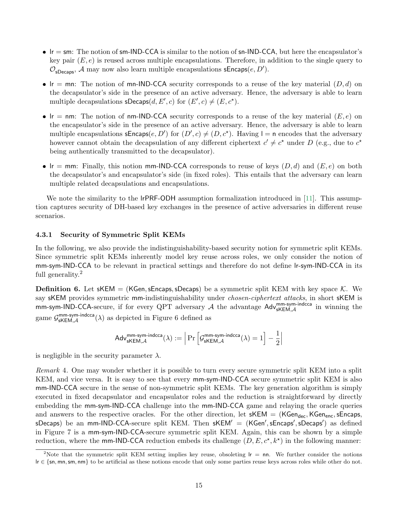- $\bullet$  Ir = sm: The notion of sm-IND-CCA is similar to the notion of sn-IND-CCA, but here the encapsulator's key pair  $(E, e)$  is reused across multiple encapsulations. Therefore, in addition to the single query to  $\mathcal{O}_{\mathsf{sDecaps}}$ , A may now also learn multiple encapsulations  $\mathsf{sEncaps}(e, D')$ .
- If  $\blacksquare$  Ir = mn: The notion of mn-IND-CCA security corresponds to a reuse of the key material  $(D, d)$  on the decapsulator's side in the presence of an active adversary. Hence, the adversary is able to learn multiple decapsulations  $sDecaps(d, E', c)$  for  $(E', c) \neq (E, c^*)$ .
- If  $\bullet$  lr = nm: The notion of nm-IND-CCA security corresponds to a reuse of the key material  $(E, e)$  on the encapsulator's side in the presence of an active adversary. Hence, the adversary is able to learn multiple encapsulations **sEncaps** $(e, D')$  for  $(D', c) \neq (D, c^*)$ . Having  $I = n$  encodes that the adversary however cannot obtain the decapsulation of any different ciphertext  $c' \neq c^*$  under D (e.g., due to  $c^*$ being authentically transmitted to the decapsulator).
- If  $\bullet$  lr = mm: Finally, this notion mm-IND-CCA corresponds to reuse of keys  $(D, d)$  and  $(E, e)$  on both the decapsulator's and encapsulator's side (in fixed roles). This entails that the adversary can learn multiple related decapsulations and encapsulations.

We note the similarity to the *IrPRF-ODH* assumption formalization introduced in [\[11\]](#page-19-0). This assumption captures security of DH-based key exchanges in the presence of active adversaries in different reuse scenarios.

#### <span id="page-14-0"></span>4.3.1 Security of Symmetric Split KEMs

In the following, we also provide the indistinguishability-based security notion for symmetric split KEMs. Since symmetric split KEMs inherently model key reuse across roles, we only consider the notion of mm-sym-IND-CCA to be relevant in practical settings and therefore do not define lr-sym-IND-CCA in its full generality.<sup>[2](#page-14-1)</sup>

**Definition 6.** Let  $sKEM = (KGen, sEncaps, sDecaps)$  be a symmetric split KEM with key space K. We say sKEM provides symmetric mm-indistinguishability under *chosen-ciphertext attacks*, in short sKEM is mm-sym-IND-CCA-secure, if for every QPT adversary A the advantage  $Adv_{sKEM, A}^{mm-sym-index}$  in winning the  $\rm{game}\,\mathcal{G}_{\rm cKFM-A}^{\rm mm-sym-index}$  $\sum_{\textbf{SKEM},\mathcal{A}}^{\text{mm-sym-indcca}}(\lambda)$  as depicted in Figure [6](#page-13-0) defined as

$$
\mathsf{Adv}_{\mathsf{sKEM},\mathcal{A}}^{\mathsf{mm}\text{-}\mathsf{sym}\text{-}\mathsf{indcca}}(\lambda) := \Big|\Pr\Big[\mathcal{G}_{\mathsf{sKEM},\mathcal{A}}^{\mathsf{mm}\text{-}\mathsf{sym}\text{-}\mathsf{indcca}}(\lambda) = 1\Big]-\frac{1}{2}\Big|
$$

is negligible in the security parameter  $\lambda$ .

Remark 4. One may wonder whether it is possible to turn every secure symmetric split KEM into a split KEM, and vice versa. It is easy to see that every mm-sym-IND-CCA secure symmetric split KEM is also mm-IND-CCA secure in the sense of non-symmetric split KEMs. The key generation algorithm is simply executed in fixed decapsulator and encapsulator roles and the reduction is straightforward by directly embedding the mm-sym-IND-CCA challenge into the mm-IND-CCA game and relaying the oracle queries and answers to the respective oracles. For the other direction, let  $sKEM = (KGen_{dec},KGen_{enc},sEncaps,$  $sDecaps)$  be an mm-IND-CCA-secure split KEM. Then  $sKEM' = (KGen', sEncaps', sDecaps')$  as defined in Figure [7](#page-15-2) is a mm-sym-IND-CCA-secure symmetric split KEM. Again, this can be shown by a simple reduction, where the mm-IND-CCA reduction embeds its challenge  $(D, E, c^*, k^*)$  in the following manner:

<span id="page-14-1"></span><sup>&</sup>lt;sup>2</sup>Note that the symmetric split KEM setting implies key reuse, obsoleting  $|r = nn$ . We further consider the notions lr ∈ {sn, mn,sm, nm} to be artificial as these notions encode that only some parties reuse keys across roles while other do not.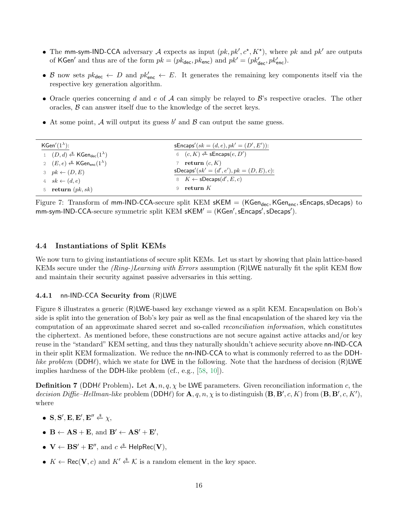- The mm-sym-IND-CCA adversary A expects as input  $(pk, pk', c^*, K^*)$ , where pk and pk' are outputs of KGen' and thus are of the form  $pk = (pk_{\text{dec}}, pk_{\text{enc}})$  and  $pk' = (pk'_{\text{dec}}, pk'_{\text{enc}})$ .
- B now sets  $pk_{\text{dec}} \leftarrow D$  and  $pk'_{\text{enc}} \leftarrow E$ . It generates the remaining key components itself via the respective key generation algorithm.
- Oracle queries concerning d and e of  $A$  can simply be relayed to  $B$ 's respective oracles. The other oracles,  $\beta$  can answer itself due to the knowledge of the secret keys.
- At some point,  $A$  will output its guess  $b'$  and  $B$  can output the same guess.

<span id="page-15-2"></span>

| KGen' $(1^{\lambda})$ :                                                 | $sEncaps'(sk = (d, e), pk' = (D', E')).$     |
|-------------------------------------------------------------------------|----------------------------------------------|
| 1 $(D,d) \stackrel{\$}{\leftarrow}$ KGen <sub>dec</sub> $(1^{\lambda})$ | 6 $(c, K) \xleftarrow{\$}$ sEncaps $(e, D')$ |
| 2 $(E, e) \xleftarrow{\$} \mathsf{KGen}_{\mathsf{enc}}(1^{\lambda})$    | return $(c, K)$                              |
| $3 \quad pk \leftarrow (D, E)$                                          | sDecaps'(sk' = $(d', e'), pk = (D, E), c$ ): |
| 4 $sk \leftarrow (d, e)$                                                | 8 $K \leftarrow s$ Decaps $(d', E, c)$       |
| 5 return $(pk, sk)$                                                     | return $K$<br>9                              |

Figure 7: Transform of mm-IND-CCA-secure split KEM  $s$ KEM = (KGen<sub>dec</sub>, KGen<sub>enc</sub>, sEncaps, sDecaps) to  $mm\text{-sym-IND-CCA-secure symmetric split KEM sKEM' = (KGen', sEncaps', sDecaps').}$ 

### <span id="page-15-0"></span>4.4 Instantiations of Split KEMs

We now turn to giving instantiations of secure split KEMs. Let us start by showing that plain lattice-based KEMs secure under the *(Ring-)Learning with Errors* assumption (R)LWE naturally fit the split KEM flow and maintain their security against passive adversaries in this setting.

### <span id="page-15-1"></span>4.4.1 nn-IND-CCA Security from (R)LWE

Figure [8](#page-16-1) illustrates a generic (R)LWE-based key exchange viewed as a split KEM. Encapsulation on Bob's side is split into the generation of Bob's key pair as well as the final encapsulation of the shared key via the computation of an approximate shared secret and so-called reconciliation information, which constitutes the ciphertext. As mentioned before, these constructions are not secure against active attacks and/or key reuse in the "standard" KEM setting, and thus they naturally shouldn't achieve security above nn-IND-CCA in their split KEM formalization. We reduce the nn-IND-CCA to what is commonly referred to as the DDHlike problem (DDH $\ell$ ), which we state for LWE in the following. Note that the hardness of decision (R)LWE implies hardness of the DDH-like problem (cf., e.g., [\[58,](#page-22-14) [10\]](#page-19-12)).

**Definition 7** (DDH $\ell$  Problem). Let  $\mathbf{A}, n, q, \chi$  be LWE parameters. Given reconciliation information c, the decision Diffie-Hellman-like problem (DDH $\ell$ ) for  $\mathbf{A}, q, n, \chi$  is to distinguish  $(\mathbf{B}, \mathbf{B}', c, K)$  from  $(\mathbf{B}, \mathbf{B}', c, K')$ , where

- $S, S', E, E', E'' \xleftarrow{s} \chi$
- $B \leftarrow AS + E$ , and  $B' \leftarrow AS' + E'$ ,
- $V \leftarrow BS' + E''$ , and  $c \stackrel{\$}{\leftarrow}$  HelpRec(V),
- $K \leftarrow \text{Rec}(\mathbf{V}, c)$  and  $K' \xleftarrow{\$} \mathcal{K}$  is a random element in the key space.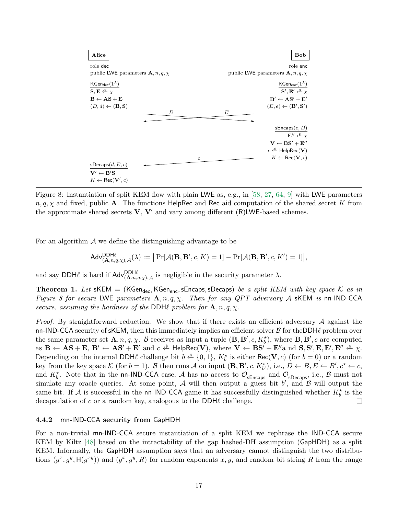<span id="page-16-1"></span>

| Alice                                          |   |                  |   | <b>Bob</b>                                               |
|------------------------------------------------|---|------------------|---|----------------------------------------------------------|
| role dec                                       |   |                  |   | role enc                                                 |
| public LWE parameters $\mathbf{A}, n, q, \chi$ |   |                  |   | public LWE parameters $\mathbf{A}, n, q, \chi$           |
| $KGen_{dec}(1^{\lambda})$                      |   |                  |   | KGen <sub>enc</sub> $(1^{\lambda})$                      |
| $\mathbf{S}, \mathbf{E} \leftarrow \chi$       |   |                  |   | $\mathbf{S}', \mathbf{E}' \overset{\$}{\leftarrow} \chi$ |
| $B \leftarrow AS + E$                          |   |                  |   | $B' \leftarrow AS' + E'$                                 |
| $(D,d) \leftarrow (\mathbf{B}, \mathbf{S})$    |   |                  |   | $(E, e) \leftarrow (\mathbf{B}', \mathbf{S}')$           |
|                                                | D |                  | E |                                                          |
|                                                |   |                  |   |                                                          |
|                                                |   |                  |   | sEncaps(e, D)                                            |
|                                                |   |                  |   | $\mathbf{E}^{\prime\prime} \leftarrow \mathbf{x}$        |
|                                                |   |                  |   | $V \leftarrow BS' + E''$                                 |
|                                                |   |                  |   | $c \stackrel{\$}{\leftarrow}$ HelpRec(V)                 |
|                                                |   | $\boldsymbol{c}$ |   | $K \leftarrow \text{Rec}(\mathbf{V}, c)$                 |
| $s$ Decaps $(d, E, c)$                         |   |                  |   |                                                          |
| $V' \leftarrow B'S$                            |   |                  |   |                                                          |
| $K \leftarrow \text{Rec}(\mathbf{V}', c)$      |   |                  |   |                                                          |

Figure 8: Instantiation of split KEM flow with plain LWE as, e.g., in [\[58,](#page-22-14) [27,](#page-20-14) [64,](#page-22-15) [9\]](#page-19-13) with LWE parameters  $n, q, \chi$  and fixed, public **A**. The functions HelpRec and Rec aid computation of the shared secret K from the approximate shared secrets  $V, V'$  and vary among different  $(R)$ LWE-based schemes.

For an algorithm  $\mathcal A$  we define the distinguishing advantage to be

$$
\mathsf{Adv}_{(\mathbf{A},n,q,\chi),\mathcal{A}}^{\mathsf{DDH}\ell}(\lambda) := \big| \Pr[\mathcal{A}(\mathbf{B},\mathbf{B}',c,K) = 1] - \Pr[\mathcal{A}(\mathbf{B},\mathbf{B}',c,K') = 1] \big|,
$$

and say DDH $\ell$  is hard if  $\mathsf{Adv}_{(\mathbf{A},n,q,\chi),\mathcal{A}}^{DDH\ell}$  is negligible in the security parameter  $\lambda$ .

**Theorem 1.** Let sKEM = (KGen<sub>dec</sub>, KGen<sub>enc</sub>, sEncaps, sDecaps) be a split KEM with key space K as in Figure [8](#page-16-1) for secure LWE parameters  $\mathbf{A}, n, q, \chi$ . Then for any QPT adversary A sKEM is nn-IND-CCA secure, assuming the hardness of the DDH $\ell$  problem for  $\mathbf{A}, n, q, \chi$ .

*Proof.* By straightforward reduction. We show that if there exists an efficient adversary  $A$  against the nn-IND-CCA security of sKEM, then this immediately implies an efficient solver  $\beta$  for the DDH $\ell$  problem over the same parameter set  $\mathbf{A}, n, q, \chi$ . B receives as input a tuple  $(\mathbf{B}, \mathbf{B}', c, K_b^{\star})$ , where  $\mathbf{B}, \mathbf{B}', c$  are computed as  $\mathbf{B} \leftarrow \mathbf{AS} + \mathbf{E}, \ \mathbf{B}' \leftarrow \mathbf{AS}' + \mathbf{E}'$  and  $c \xleftarrow{\$} \mathsf{HelpRec}(\mathbf{V}),$  where  $\mathbf{V} \leftarrow \mathbf{BS}' + \mathbf{E}''$ a nd  $\mathbf{S}, \mathbf{S}', \mathbf{E}, \mathbf{E}', \mathbf{E}'' \xleftarrow{\$} \chi$ . Depending on the internal DDH $\ell$  challenge bit  $b \stackrel{\$}{\leftarrow} \{0,1\}$ ,  $K_b^{\star}$  is either  $\text{Rec}(\mathbf{V}, c)$  (for  $b = 0$ ) or a random key from the key space K (for  $b = 1$ ). B then runs A on input  $(\mathbf{B}, \mathbf{B}', c, K_{b'}^{\star})$ , i.e.,  $D \leftarrow B, E \leftarrow B', c^{\star} \leftarrow c$ , and  $K_b^*$ . Note that in the nn-IND-CCA case, A has no access to  $\mathcal{O}_{\text{sEncaps}}$  and  $\mathcal{O}_{\text{sDecaps}}$ , i.e., B must not simulate any oracle queries. At some point, A will then output a guess bit  $b'$ , and  $\beta$  will output the same bit. If A is successful in the nn-IND-CCA game it has successfully distinguished whether  $K_b^*$  is the decapsulation of c or a random key, analogous to the  $DDH\ell$  challenge.  $\Box$ 

### <span id="page-16-0"></span>4.4.2 mn-IND-CCA security from GapHDH

For a non-trivial mn-IND-CCA secure instantiation of a split KEM we rephrase the IND-CCA secure KEM by Kiltz [\[48\]](#page-21-5) based on the intractability of the gap hashed-DH assumption (GapHDH) as a split KEM. Informally, the GapHDH assumption says that an adversary cannot distinguish the two distributions  $(g^x, g^y, \mathsf{H}(g^{xy}))$  and  $(g^x, g^y, R)$  for random exponents x, y, and random bit string R from the range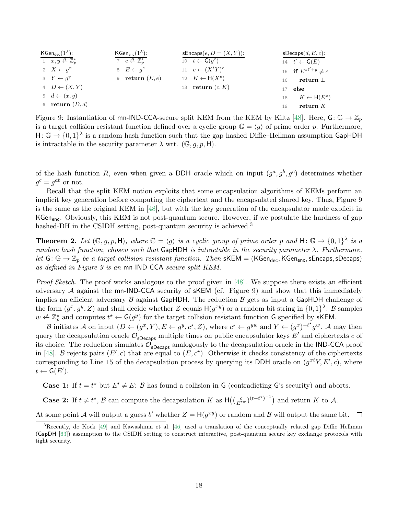<span id="page-17-2"></span><span id="page-17-0"></span>

| $KGen_{dec}(1^{\lambda})$ :                             | KGen <sub>enc</sub> $(1^{\lambda})$ :                | $sEncaps(e, D = (X, Y))$ :  | $sDecaps(d, E, c)$ :              |
|---------------------------------------------------------|------------------------------------------------------|-----------------------------|-----------------------------------|
| 1 $x, y \stackrel{\$}{\leftarrow} \mathbb{Z}_p^{\star}$ | 7 $e \stackrel{\$}{\leftarrow} \mathbb{Z}_p^{\star}$ | 10 $t \leftarrow G(g^e)$    | 14 $t' \leftarrow G(E)$           |
| 2 $X \leftarrow g^x$                                    | 8 $E \leftarrow q^e$                                 | 11 $c \leftarrow (X^t Y)^e$ | 15 if $E^{xt'+y} \neq c$          |
| 3 $Y \leftarrow q^y$                                    | 9 return $(E,e)$                                     | 12 $K \leftarrow H(X^e)$    | return $\perp$<br>16              |
| $4\quad D\leftarrow (X,Y)$                              |                                                      | 13 return $(c, K)$          | $17$ else                         |
| $5 \quad d \leftarrow (x, y)$                           |                                                      |                             | 18 $K \leftarrow \mathsf{H}(E^x)$ |
| 6 return $(D,d)$                                        |                                                      |                             | return $K$<br>19                  |

Figure 9: Instantiation of mn-IND-CCA-secure split KEM from the KEM by Kiltz [\[48\]](#page-21-5). Here,  $G: \mathbb{G} \to \mathbb{Z}_p$ is a target collision resistant function defined over a cyclic group  $\mathbb{G} = \langle q \rangle$  of prime order p. Furthermore, H:  $\mathbb{G} \to \{0,1\}^{\lambda}$  is a random hash function such that the gap hashed Diffie–Hellman assumption GapHDH is intractable in the security parameter  $\lambda$  wrt. (G, q, p, H).

of the hash function R, even when given a DDH oracle which on input  $(g^a, g^b, g^c)$  determines whether  $g^c = g^{ab}$  or not.

Recall that the split KEM notion exploits that some encapsulation algorithms of KEMs perform an implicit key generation before computing the ciphertext and the encapsulated shared key. Thus, Figure [9](#page-17-0) is the same as the original KEM in [\[48\]](#page-21-5), but with the key generation of the encapsulator made explicit in KGen<sub>enc</sub>. Obviously, this KEM is not post-quantum secure. However, if we postulate the hardness of gap hashed-DH in the CSIDH setting, post-quantum security is achieved.<sup>[3](#page-17-1)</sup>

**Theorem 2.** Let  $(\mathbb{G}, g, p, \mathsf{H})$ , where  $\mathbb{G} = \langle g \rangle$  is a cyclic group of prime order p and  $\mathsf{H}: \mathbb{G} \to \{0, 1\}^{\lambda}$  is a random hash function, chosen such that GapHDH is intractable in the security parameter  $\lambda$ . Furthermore, let G:  $\mathbb{G} \to \mathbb{Z}_p$  be a target collision resistant function. Then  $sKEM = (KGen_{dec},KGen_{enc},\text{sEncaps},\text{sDecaps})$ as defined in Figure [9](#page-17-0) is an mn-IND-CCA secure split KEM.

Proof Sketch. The proof works analogous to the proof given in [\[48\]](#page-21-5). We suppose there exists an efficient adversary  $A$  against the mn-IND-CCA security of sKEM (cf. Figure [9\)](#page-17-0) and show that this immediately implies an efficient adversary  $\beta$  against GapHDH. The reduction  $\beta$  gets as input a GapHDH challenge of the form  $(g^x, g^y, Z)$  and shall decide whether Z equals  $H(g^{xy})$  or a random bit string in  $\{0, 1\}^{\lambda}$ . B samples  $w \stackrel{\&}{\leftarrow} \mathbb{Z}_p^{\star}$  and computes  $t^{\star} \leftarrow G(g^y)$  for the target collision resistant function G specified by sKEM.

B initiates A on input  $(D \leftarrow (g^x, Y), E \leftarrow g^y, c^*, Z)$ , where  $c^* \leftarrow g^{yw}$  and  $Y \leftarrow (g^x)^{-t^*} g^w$ . A may then query the decapsulation oracle  $\mathcal{O}_{\text{sDecans}}$  multiple times on public encapsulator keys E' and ciphertexts c of its choice. The reduction simulates  $\mathcal{O}_{\text{sDecaps}}$  analogously to the decapsulation oracle in the IND-CCA proof in [\[48\]](#page-21-5). B rejects pairs  $(E', c)$  that are equal to  $(E, c^*)$ . Otherwise it checks consistency of the ciphertexts corresponding to Line [15](#page-17-2) of the decapsulation process by querying its DDH oracle on  $(g^{xt}Y, E', c)$ , where  $t \leftarrow \mathsf{G}(E').$ 

**Case 1:** If  $t = t^*$  but  $E' \neq E$ : B has found a collision in G (contradicting G's security) and aborts.

**Case 2:** If  $t \neq t^*$ ,  $\beta$  can compute the decapsulation K as  $H\left(\left(\frac{c}{E'}(t-t^*)^{-1}\right)\right)$  and return K to A.

At some point A will output a guess b' whether  $Z = H(g^{xy})$  or random and B will output the same bit.  $\Box$ 

<span id="page-17-1"></span><sup>3</sup>Recently, de Kock [\[49\]](#page-22-12) and Kawashima et al. [\[46\]](#page-21-14) used a translation of the conceptually related gap Diffie–Hellman (GapDH [\[63\]](#page-22-2)) assumption to the CSIDH setting to construct interactive, post-quantum secure key exchange protocols with tight security.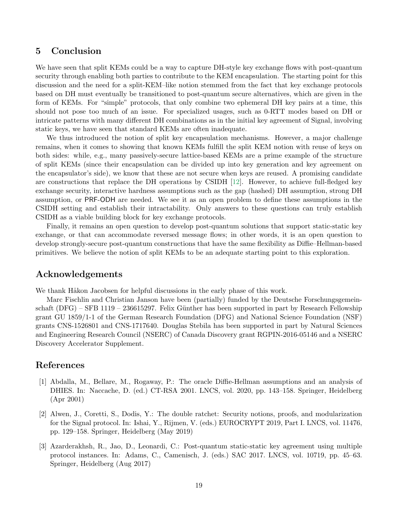# <span id="page-18-0"></span>5 Conclusion

We have seen that split KEMs could be a way to capture DH-style key exchange flows with post-quantum security through enabling both parties to contribute to the KEM encapsulation. The starting point for this discussion and the need for a split-KEM–like notion stemmed from the fact that key exchange protocols based on DH must eventually be transitioned to post-quantum secure alternatives, which are given in the form of KEMs. For "simple" protocols, that only combine two ephemeral DH key pairs at a time, this should not pose too much of an issue. For specialized usages, such as 0-RTT modes based on DH or intricate patterns with many different DH combinations as in the initial key agreement of Signal, involving static keys, we have seen that standard KEMs are often inadequate.

We thus introduced the notion of split key encapsulation mechanisms. However, a major challenge remains, when it comes to showing that known KEMs fulfill the split KEM notion with reuse of keys on both sides: while, e.g., many passively-secure lattice-based KEMs are a prime example of the structure of split KEMs (since their encapsulation can be divided up into key generation and key agreement on the encapsulator's side), we know that these are not secure when keys are reused. A promising candidate are constructions that replace the DH operations by CSIDH [\[12\]](#page-19-8). However, to achieve full-fledged key exchange security, interactive hardness assumptions such as the gap (hashed) DH assumption, strong DH assumption, or PRF-ODH are needed. We see it as an open problem to define these assumptions in the CSIDH setting and establish their intractability. Only answers to these questions can truly establish CSIDH as a viable building block for key exchange protocols.

Finally, it remains an open question to develop post-quantum solutions that support static-static key exchange, or that can accommodate reversed message flows; in other words, it is an open question to develop strongly-secure post-quantum constructions that have the same flexibility as Diffie–Hellman-based primitives. We believe the notion of split KEMs to be an adequate starting point to this exploration.

### <span id="page-18-1"></span>Acknowledgements

We thank Håkon Jacobsen for helpful discussions in the early phase of this work.

Marc Fischlin and Christian Janson have been (partially) funded by the Deutsche Forschungsgemeinschaft (DFG) – SFB 1119 – 236615297. Felix Günther has been supported in part by Research Fellowship grant GU 1859/1-1 of the German Research Foundation (DFG) and National Science Foundation (NSF) grants CNS-1526801 and CNS-1717640. Douglas Stebila has been supported in part by Natural Sciences and Engineering Research Council (NSERC) of Canada Discovery grant RGPIN-2016-05146 and a NSERC Discovery Accelerator Supplement.

### References

- <span id="page-18-2"></span>[1] Abdalla, M., Bellare, M., Rogaway, P.: The oracle Diffie-Hellman assumptions and an analysis of DHIES. In: Naccache, D. (ed.) CT-RSA 2001. LNCS, vol. 2020, pp. 143–158. Springer, Heidelberg (Apr 2001)
- <span id="page-18-3"></span>[2] Alwen, J., Coretti, S., Dodis, Y.: The double ratchet: Security notions, proofs, and modularization for the Signal protocol. In: Ishai, Y., Rijmen, V. (eds.) EUROCRYPT 2019, Part I. LNCS, vol. 11476, pp. 129–158. Springer, Heidelberg (May 2019)
- <span id="page-18-4"></span>[3] Azarderakhsh, R., Jao, D., Leonardi, C.: Post-quantum static-static key agreement using multiple protocol instances. In: Adams, C., Camenisch, J. (eds.) SAC 2017. LNCS, vol. 10719, pp. 45–63. Springer, Heidelberg (Aug 2017)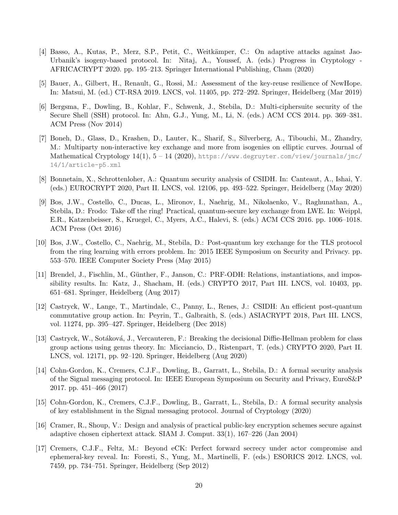- <span id="page-19-6"></span>[4] Basso, A., Kutas, P., Merz, S.P., Petit, C., Weitk¨amper, C.: On adaptive attacks against Jao-Urbanik's isogeny-based protocol. In: Nitaj, A., Youssef, A. (eds.) Progress in Cryptology - AFRICACRYPT 2020. pp. 195–213. Springer International Publishing, Cham (2020)
- <span id="page-19-5"></span>[5] Bauer, A., Gilbert, H., Renault, G., Rossi, M.: Assessment of the key-reuse resilience of NewHope. In: Matsui, M. (ed.) CT-RSA 2019. LNCS, vol. 11405, pp. 272–292. Springer, Heidelberg (Mar 2019)
- <span id="page-19-4"></span>[6] Bergsma, F., Dowling, B., Kohlar, F., Schwenk, J., Stebila, D.: Multi-ciphersuite security of the Secure Shell (SSH) protocol. In: Ahn, G.J., Yung, M., Li, N. (eds.) ACM CCS 2014. pp. 369–381. ACM Press (Nov 2014)
- <span id="page-19-7"></span>[7] Boneh, D., Glass, D., Krashen, D., Lauter, K., Sharif, S., Silverberg, A., Tibouchi, M., Zhandry, M.: Multiparty non-interactive key exchange and more from isogenies on elliptic curves. Journal of Mathematical Cryptology 14(1), 5 – 14 (2020), [https://www.degruyter.com/view/journals/jmc/](https://www.degruyter.com/view/journals/jmc/14/1/article-p5.xml) [14/1/article-p5.xml](https://www.degruyter.com/view/journals/jmc/14/1/article-p5.xml)
- <span id="page-19-9"></span>[8] Bonnetain, X., Schrottenloher, A.: Quantum security analysis of CSIDH. In: Canteaut, A., Ishai, Y. (eds.) EUROCRYPT 2020, Part II. LNCS, vol. 12106, pp. 493–522. Springer, Heidelberg (May 2020)
- <span id="page-19-13"></span>[9] Bos, J.W., Costello, C., Ducas, L., Mironov, I., Naehrig, M., Nikolaenko, V., Raghunathan, A., Stebila, D.: Frodo: Take off the ring! Practical, quantum-secure key exchange from LWE. In: Weippl, E.R., Katzenbeisser, S., Kruegel, C., Myers, A.C., Halevi, S. (eds.) ACM CCS 2016. pp. 1006–1018. ACM Press (Oct 2016)
- <span id="page-19-12"></span>[10] Bos, J.W., Costello, C., Naehrig, M., Stebila, D.: Post-quantum key exchange for the TLS protocol from the ring learning with errors problem. In: 2015 IEEE Symposium on Security and Privacy. pp. 553–570. IEEE Computer Society Press (May 2015)
- <span id="page-19-0"></span>[11] Brendel, J., Fischlin, M., Günther, F., Janson, C.: PRF-ODH: Relations, instantiations, and impossibility results. In: Katz, J., Shacham, H. (eds.) CRYPTO 2017, Part III. LNCS, vol. 10403, pp. 651–681. Springer, Heidelberg (Aug 2017)
- <span id="page-19-8"></span>[12] Castryck, W., Lange, T., Martindale, C., Panny, L., Renes, J.: CSIDH: An efficient post-quantum commutative group action. In: Peyrin, T., Galbraith, S. (eds.) ASIACRYPT 2018, Part III. LNCS, vol. 11274, pp. 395–427. Springer, Heidelberg (Dec 2018)
- <span id="page-19-10"></span>[13] Castryck, W., Sotáková, J., Vercauteren, F.: Breaking the decisional Diffie-Hellman problem for class group actions using genus theory. In: Micciancio, D., Ristenpart, T. (eds.) CRYPTO 2020, Part II. LNCS, vol. 12171, pp. 92–120. Springer, Heidelberg (Aug 2020)
- <span id="page-19-2"></span>[14] Cohn-Gordon, K., Cremers, C.J.F., Dowling, B., Garratt, L., Stebila, D.: A formal security analysis of the Signal messaging protocol. In: IEEE European Symposium on Security and Privacy, EuroS&P 2017. pp. 451–466 (2017)
- <span id="page-19-11"></span>[15] Cohn-Gordon, K., Cremers, C.J.F., Dowling, B., Garratt, L., Stebila, D.: A formal security analysis of key establishment in the Signal messaging protocol. Journal of Cryptology (2020)
- <span id="page-19-3"></span>[16] Cramer, R., Shoup, V.: Design and analysis of practical public-key encryption schemes secure against adaptive chosen ciphertext attack. SIAM J. Comput. 33(1), 167–226 (Jan 2004)
- <span id="page-19-1"></span>[17] Cremers, C.J.F., Feltz, M.: Beyond eCK: Perfect forward secrecy under actor compromise and ephemeral-key reveal. In: Foresti, S., Yung, M., Martinelli, F. (eds.) ESORICS 2012. LNCS, vol. 7459, pp. 734–751. Springer, Heidelberg (Sep 2012)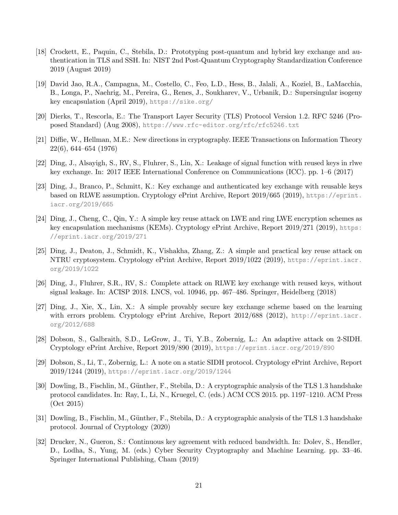- <span id="page-20-3"></span>[18] Crockett, E., Paquin, C., Stebila, D.: Prototyping post-quantum and hybrid key exchange and authentication in TLS and SSH. In: NIST 2nd Post-Quantum Cryptography Standardization Conference 2019 (August 2019)
- <span id="page-20-4"></span>[19] David Jao, R.A., Campagna, M., Costello, C., Feo, L.D., Hess, B., Jalali, A., Koziel, B., LaMacchia, B., Longa, P., Naehrig, M., Pereira, G., Renes, J., Soukharev, V., Urbanik, D.: Supersingular isogeny key encapsulation (April 2019), <https://sike.org/>
- <span id="page-20-1"></span>[20] Dierks, T., Rescorla, E.: The Transport Layer Security (TLS) Protocol Version 1.2. RFC 5246 (Proposed Standard) (Aug 2008), <https://www.rfc-editor.org/rfc/rfc5246.txt>
- <span id="page-20-0"></span>[21] Diffie, W., Hellman, M.E.: New directions in cryptography. IEEE Transactions on Information Theory 22(6), 644–654 (1976)
- <span id="page-20-5"></span>[22] Ding, J., Alsayigh, S., RV, S., Fluhrer, S., Lin, X.: Leakage of signal function with reused keys in rlwe key exchange. In: 2017 IEEE International Conference on Communications (ICC). pp. 1–6 (2017)
- <span id="page-20-9"></span>[23] Ding, J., Branco, P., Schmitt, K.: Key exchange and authenticated key exchange with reusable keys based on RLWE assumption. Cryptology ePrint Archive, Report 2019/665 (2019), [https://eprint.](https://eprint.iacr.org/2019/665) [iacr.org/2019/665](https://eprint.iacr.org/2019/665)
- <span id="page-20-7"></span>[24] Ding, J., Cheng, C., Qin, Y.: A simple key reuse attack on LWE and ring LWE encryption schemes as key encapsulation mechanisms (KEMs). Cryptology ePrint Archive, Report 2019/271 (2019), [https:](https://eprint.iacr.org/2019/271) [//eprint.iacr.org/2019/271](https://eprint.iacr.org/2019/271)
- <span id="page-20-8"></span>[25] Ding, J., Deaton, J., Schmidt, K., Vishakha, Zhang, Z.: A simple and practical key reuse attack on NTRU cryptosystem. Cryptology ePrint Archive, Report 2019/1022 (2019), [https://eprint.iacr.](https://eprint.iacr.org/2019/1022) [org/2019/1022](https://eprint.iacr.org/2019/1022)
- <span id="page-20-6"></span>[26] Ding, J., Fluhrer, S.R., RV, S.: Complete attack on RLWE key exchange with reused keys, without signal leakage. In: ACISP 2018. LNCS, vol. 10946, pp. 467–486. Springer, Heidelberg (2018)
- <span id="page-20-14"></span>[27] Ding, J., Xie, X., Lin, X.: A simple provably secure key exchange scheme based on the learning with errors problem. Cryptology ePrint Archive, Report 2012/688 (2012), [http://eprint.iacr.](http://eprint.iacr.org/2012/688) [org/2012/688](http://eprint.iacr.org/2012/688)
- <span id="page-20-10"></span>[28] Dobson, S., Galbraith, S.D., LeGrow, J., Ti, Y.B., Zobernig, L.: An adaptive attack on 2-SIDH. Cryptology ePrint Archive, Report 2019/890 (2019), <https://eprint.iacr.org/2019/890>
- <span id="page-20-11"></span>[29] Dobson, S., Li, T., Zobernig, L.: A note on a static SIDH protocol. Cryptology ePrint Archive, Report 2019/1244 (2019), <https://eprint.iacr.org/2019/1244>
- <span id="page-20-2"></span>[30] Dowling, B., Fischlin, M., Günther, F., Stebila, D.: A cryptographic analysis of the TLS 1.3 handshake protocol candidates. In: Ray, I., Li, N., Kruegel, C. (eds.) ACM CCS 2015. pp. 1197–1210. ACM Press (Oct 2015)
- <span id="page-20-12"></span>[31] Dowling, B., Fischlin, M., Günther, F., Stebila, D.: A cryptographic analysis of the TLS 1.3 handshake protocol. Journal of Cryptology (2020)
- <span id="page-20-13"></span>[32] Drucker, N., Gueron, S.: Continuous key agreement with reduced bandwidth. In: Dolev, S., Hendler, D., Lodha, S., Yung, M. (eds.) Cyber Security Cryptography and Machine Learning. pp. 33–46. Springer International Publishing, Cham (2019)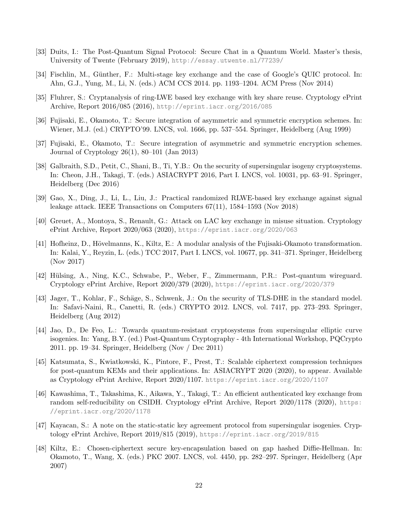- <span id="page-21-7"></span>[33] Duits, I.: The Post-Quantum Signal Protocol: Secure Chat in a Quantum World. Master's thesis, University of Twente (February 2019), <http://essay.utwente.nl/77239/>
- <span id="page-21-4"></span>[34] Fischlin, M., Günther, F.: Multi-stage key exchange and the case of Google's QUIC protocol. In: Ahn, G.J., Yung, M., Li, N. (eds.) ACM CCS 2014. pp. 1193–1204. ACM Press (Nov 2014)
- <span id="page-21-9"></span>[35] Fluhrer, S.: Cryptanalysis of ring-LWE based key exchange with key share reuse. Cryptology ePrint Archive, Report 2016/085 (2016), <http://eprint.iacr.org/2016/085>
- <span id="page-21-1"></span>[36] Fujisaki, E., Okamoto, T.: Secure integration of asymmetric and symmetric encryption schemes. In: Wiener, M.J. (ed.) CRYPTO'99. LNCS, vol. 1666, pp. 537–554. Springer, Heidelberg (Aug 1999)
- <span id="page-21-2"></span>[37] Fujisaki, E., Okamoto, T.: Secure integration of asymmetric and symmetric encryption schemes. Journal of Cryptology 26(1), 80–101 (Jan 2013)
- <span id="page-21-12"></span>[38] Galbraith, S.D., Petit, C., Shani, B., Ti, Y.B.: On the security of supersingular isogeny cryptosystems. In: Cheon, J.H., Takagi, T. (eds.) ASIACRYPT 2016, Part I. LNCS, vol. 10031, pp. 63–91. Springer, Heidelberg (Dec 2016)
- <span id="page-21-11"></span>[39] Gao, X., Ding, J., Li, L., Liu, J.: Practical randomized RLWE-based key exchange against signal leakage attack. IEEE Transactions on Computers 67(11), 1584–1593 (Nov 2018)
- <span id="page-21-10"></span>[40] Greuet, A., Montoya, S., Renault, G.: Attack on LAC key exchange in misuse situation. Cryptology ePrint Archive, Report 2020/063 (2020), <https://eprint.iacr.org/2020/063>
- <span id="page-21-3"></span>[41] Hofheinz, D., Hövelmanns, K., Kiltz, E.: A modular analysis of the Fujisaki-Okamoto transformation. In: Kalai, Y., Reyzin, L. (eds.) TCC 2017, Part I. LNCS, vol. 10677, pp. 341–371. Springer, Heidelberg (Nov 2017)
- <span id="page-21-6"></span>[42] Hülsing, A., Ning, K.C., Schwabe, P., Weber, F., Zimmermann, P.R.: Post-quantum wireguard. Cryptology ePrint Archive, Report 2020/379 (2020), <https://eprint.iacr.org/2020/379>
- <span id="page-21-0"></span>[43] Jager, T., Kohlar, F., Schäge, S., Schwenk, J.: On the security of TLS-DHE in the standard model. In: Safavi-Naini, R., Canetti, R. (eds.) CRYPTO 2012. LNCS, vol. 7417, pp. 273–293. Springer, Heidelberg (Aug 2012)
- <span id="page-21-8"></span>[44] Jao, D., De Feo, L.: Towards quantum-resistant cryptosystems from supersingular elliptic curve isogenies. In: Yang, B.Y. (ed.) Post-Quantum Cryptography - 4th International Workshop, PQCrypto 2011. pp. 19–34. Springer, Heidelberg (Nov / Dec 2011)
- <span id="page-21-15"></span>[45] Katsumata, S., Kwiatkowski, K., Pintore, F., Prest, T.: Scalable ciphertext compression techniques for post-quantum KEMs and their applications. In: ASIACRYPT 2020 (2020), to appear. Available as Cryptology ePrint Archive, Report 2020/1107. <https://eprint.iacr.org/2020/1107>
- <span id="page-21-14"></span>[46] Kawashima, T., Takashima, K., Aikawa, Y., Takagi, T.: An efficient authenticated key exchange from random self-reducibility on CSIDH. Cryptology ePrint Archive, Report 2020/1178 (2020), [https:](https://eprint.iacr.org/2020/1178) [//eprint.iacr.org/2020/1178](https://eprint.iacr.org/2020/1178)
- <span id="page-21-13"></span>[47] Kayacan, S.: A note on the static-static key agreement protocol from supersingular isogenies. Cryptology ePrint Archive, Report 2019/815 (2019), <https://eprint.iacr.org/2019/815>
- <span id="page-21-5"></span>[48] Kiltz, E.: Chosen-ciphertext secure key-encapsulation based on gap hashed Diffie-Hellman. In: Okamoto, T., Wang, X. (eds.) PKC 2007. LNCS, vol. 4450, pp. 282–297. Springer, Heidelberg (Apr 2007)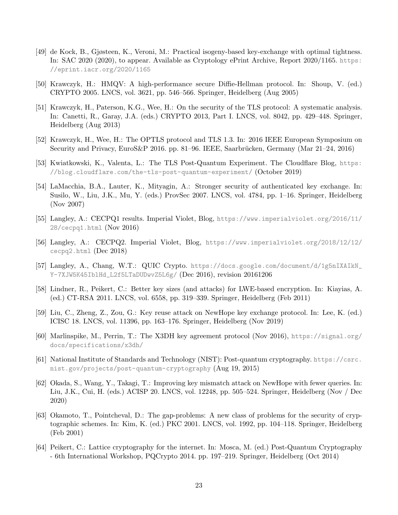- <span id="page-22-12"></span>[49] de Kock, B., Gjøsteen, K., Veroni, M.: Practical isogeny-based key-exchange with optimal tightness. In: SAC 2020 (2020), to appear. Available as Cryptology ePrint Archive, Report 2020/1165. [https:](https://eprint.iacr.org/2020/1165) [//eprint.iacr.org/2020/1165](https://eprint.iacr.org/2020/1165)
- <span id="page-22-0"></span>[50] Krawczyk, H.: HMQV: A high-performance secure Diffie-Hellman protocol. In: Shoup, V. (ed.) CRYPTO 2005. LNCS, vol. 3621, pp. 546–566. Springer, Heidelberg (Aug 2005)
- <span id="page-22-9"></span>[51] Krawczyk, H., Paterson, K.G., Wee, H.: On the security of the TLS protocol: A systematic analysis. In: Canetti, R., Garay, J.A. (eds.) CRYPTO 2013, Part I. LNCS, vol. 8042, pp. 429–448. Springer, Heidelberg (Aug 2013)
- <span id="page-22-4"></span>[52] Krawczyk, H., Wee, H.: The OPTLS protocol and TLS 1.3. In: 2016 IEEE European Symposium on Security and Privacy, EuroS&P 2016. pp. 81–96. IEEE, Saarbrücken, Germany (Mar 21–24, 2016)
- <span id="page-22-8"></span>[53] Kwiatkowski, K., Valenta, L.: The TLS Post-Quantum Experiment. The Cloudflare Blog, [https:](https://blog.cloudflare.com/the-tls-post-quantum-experiment/) [//blog.cloudflare.com/the-tls-post-quantum-experiment/](https://blog.cloudflare.com/the-tls-post-quantum-experiment/) (October 2019)
- <span id="page-22-1"></span>[54] LaMacchia, B.A., Lauter, K., Mityagin, A.: Stronger security of authenticated key exchange. In: Susilo, W., Liu, J.K., Mu, Y. (eds.) ProvSec 2007. LNCS, vol. 4784, pp. 1–16. Springer, Heidelberg (Nov 2007)
- <span id="page-22-6"></span>[55] Langley, A.: CECPQ1 results. Imperial Violet, Blog, [https://www.imperialviolet.org/2016/11/](https://www.imperialviolet.org/2016/11/28/cecpq1.html) [28/cecpq1.html](https://www.imperialviolet.org/2016/11/28/cecpq1.html) (Nov 2016)
- <span id="page-22-7"></span>[56] Langley, A.: CECPQ2. Imperial Violet, Blog, [https://www.imperialviolet.org/2018/12/12/](https://www.imperialviolet.org/2018/12/12/cecpq2.html) [cecpq2.html](https://www.imperialviolet.org/2018/12/12/cecpq2.html) (Dec 2018)
- <span id="page-22-3"></span>[57] Langley, A., Chang, W.T.: QUIC Crypto. [https://docs.google.com/document/d/1g5nIXAIkN\\_](https://docs.google.com/document/d/1g5nIXAIkN_Y-7XJW5K45IblHd_L2f5LTaDUDwvZ5L6g/) [Y-7XJW5K45IblHd\\_L2f5LTaDUDwvZ5L6g/](https://docs.google.com/document/d/1g5nIXAIkN_Y-7XJW5K45IblHd_L2f5LTaDUDwvZ5L6g/) (Dec 2016), revision 20161206
- <span id="page-22-14"></span>[58] Lindner, R., Peikert, C.: Better key sizes (and attacks) for LWE-based encryption. In: Kiayias, A. (ed.) CT-RSA 2011. LNCS, vol. 6558, pp. 319–339. Springer, Heidelberg (Feb 2011)
- <span id="page-22-10"></span>[59] Liu, C., Zheng, Z., Zou, G.: Key reuse attack on NewHope key exchange protocol. In: Lee, K. (ed.) ICISC 18. LNCS, vol. 11396, pp. 163–176. Springer, Heidelberg (Nov 2019)
- <span id="page-22-13"></span>[60] Marlinspike, M., Perrin, T.: The X3DH key agreement protocol (Nov 2016), [https://signal.org/](https://signal.org/docs/specifications/x3dh/) [docs/specifications/x3dh/](https://signal.org/docs/specifications/x3dh/)
- <span id="page-22-5"></span>[61] National Institute of Standards and Technology (NIST): Post-quantum cryptography. [https://csrc.](https://csrc.nist.gov/projects/post-quantum-cryptography) [nist.gov/projects/post-quantum-cryptography](https://csrc.nist.gov/projects/post-quantum-cryptography) (Aug 19, 2015)
- <span id="page-22-11"></span>[62] Okada, S., Wang, Y., Takagi, T.: Improving key mismatch attack on NewHope with fewer queries. In: Liu, J.K., Cui, H. (eds.) ACISP 20. LNCS, vol. 12248, pp. 505–524. Springer, Heidelberg (Nov / Dec 2020)
- <span id="page-22-2"></span>[63] Okamoto, T., Pointcheval, D.: The gap-problems: A new class of problems for the security of cryptographic schemes. In: Kim, K. (ed.) PKC 2001. LNCS, vol. 1992, pp. 104–118. Springer, Heidelberg (Feb 2001)
- <span id="page-22-15"></span>[64] Peikert, C.: Lattice cryptography for the internet. In: Mosca, M. (ed.) Post-Quantum Cryptography - 6th International Workshop, PQCrypto 2014. pp. 197–219. Springer, Heidelberg (Oct 2014)